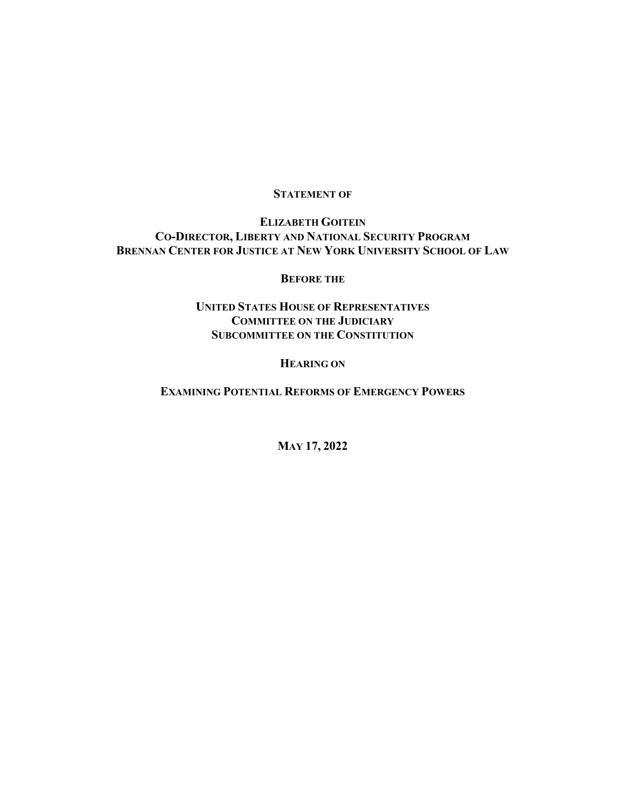## **STATEMENT OF**

### **ELIZABETH GOITEIN CO-DIRECTOR, LIBERTY AND NATIONAL SECURITY PROGRAM BRENNAN CENTER FOR JUSTICE AT NEW YORK UNIVERSITY SCHOOL OF LAW**

#### **BEFORE THE**

## **UNITED STATES HOUSE OF REPRESENTATIVES COMMITTEE ON THE JUDICIARY SUBCOMMITTEE ON THE CONSTITUTION**

#### **HEARING ON**

**EXAMINING POTENTIAL REFORMS OF EMERGENCY POWERS**

**MAY 17, 2022**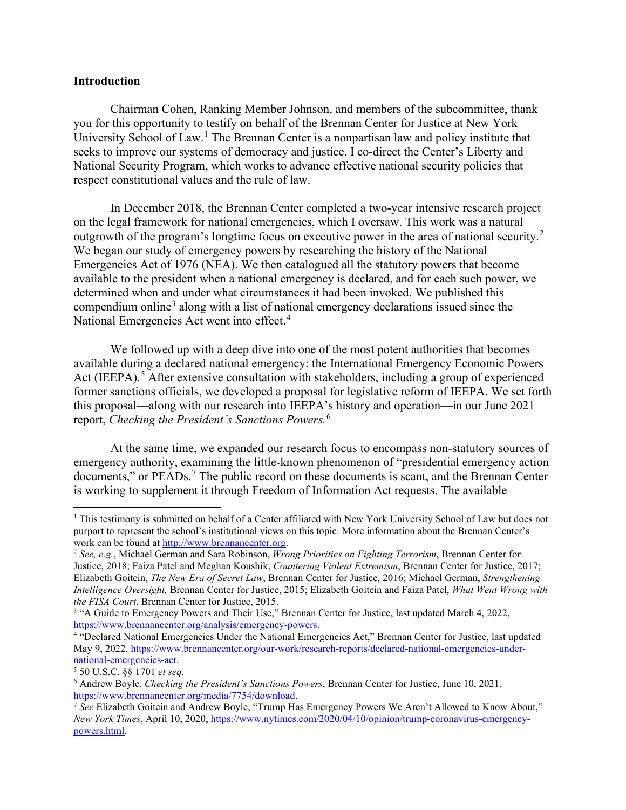#### **Introduction**

Chairman Cohen, Ranking Member Johnson, and members of the subcommittee, thank you for this opportunity to testify on behalf of the Brennan Center for Justice at New York University School of Law.<sup>[1](#page-1-0)</sup> The Brennan Center is a nonpartisan law and policy institute that seeks to improve our systems of democracy and justice. I co-direct the Center's Liberty and National Security Program, which works to advance effective national security policies that respect constitutional values and the rule of law.

In December 2018, the Brennan Center completed a two-year intensive research project on the legal framework for national emergencies, which I oversaw. This work was a natural outgrowth of the program's longtime focus on executive power in the area of national security.<sup>[2](#page-1-1)</sup> We began our study of emergency powers by researching the history of the National Emergencies Act of 1976 (NEA). We then catalogued all the statutory powers that become available to the president when a national emergency is declared, and for each such power, we determined when and under what circumstances it had been invoked. We published this compendium online<sup>[3](#page-1-2)</sup> along with a list of national emergency declarations issued since the National Emergencies Act went into effect.<sup>[4](#page-1-3)</sup>

We followed up with a deep dive into one of the most potent authorities that becomes available during a declared national emergency: the International Emergency Economic Powers Act (IEEPA).<sup>[5](#page-1-4)</sup> After extensive consultation with stakeholders, including a group of experienced former sanctions officials, we developed a proposal for legislative reform of IEEPA. We set forth this proposal—along with our research into IEEPA's history and operation—in our June 2021 report, *Checking the President's Sanctions Powers.*[6](#page-1-5)

At the same time, we expanded our research focus to encompass non-statutory sources of emergency authority, examining the little-known phenomenon of "presidential emergency action documents," or PEADs.<sup>[7](#page-1-6)</sup> The public record on these documents is scant, and the Brennan Center is working to supplement it through Freedom of Information Act requests. The available

<span id="page-1-0"></span><sup>&</sup>lt;sup>1</sup> This testimony is submitted on behalf of a Center affiliated with New York University School of Law but does not purport to represent the school's institutional views on this topic. More information about the Brennan Center's work can be found at [http://www.brennancenter.org.](http://www.brennancenter.org/)

<span id="page-1-1"></span><sup>2</sup> *See, e.g.*, Michael German and Sara Robinson, *Wrong Priorities on Fighting Terrorism*, Brennan Center for Justice, 2018; Faiza Patel and Meghan Koushik, *Countering Violent Extremism*, Brennan Center for Justice, 2017; Elizabeth Goitein, *The New Era of Secret Law*, Brennan Center for Justice, 2016; Michael German, *Strengthening Intelligence Oversight,* Brennan Center for Justice, 2015; Elizabeth Goitein and Faiza Patel, *What Went Wrong with the FISA Court*, Brennan Center for Justice, 2015.

<span id="page-1-2"></span><sup>&</sup>lt;sup>3</sup> "A Guide to Emergency Powers and Their Use," Brennan Center for Justice, last updated March 4, 2022, https://www.brennancenter.org/analysis/emergency-powers.<br><sup>4</sup> "Declared National Emergencies Under the National Emergencies Act," Brennan Center for Justice, last updated

<span id="page-1-3"></span>May 9, 2022, [https://www.brennancenter.org/our-work/research-reports/declared-national-emergencies-under](https://www.brennancenter.org/sites/default/files/analysis/DeclaredNationalEmergenciesUndertheNationalEmergenciesAct_2.14.19.pdf)[national-emergencies-act.](https://www.brennancenter.org/sites/default/files/analysis/DeclaredNationalEmergenciesUndertheNationalEmergenciesAct_2.14.19.pdf) 5 50 U.S.C. §§ <sup>1701</sup>*et seq.*

<span id="page-1-4"></span>

<span id="page-1-5"></span><sup>6</sup> Andrew Boyle, *Checking the President's Sanctions Powers*, Brennan Center for Justice, June 10, 2021, [https://www.brennancenter.org/media/7754/download.](https://www.brennancenter.org/media/7754/download) 7 *See* Elizabeth Goitein and Andrew Boyle, "Trump Has Emergency Powers We Aren't Allowed to Know About,"

<span id="page-1-6"></span>*New York Times*, April 10, 2020, [https://www.nytimes.com/2020/04/10/opinion/trump-coronavirus-emergency](https://www.nytimes.com/2020/04/10/opinion/trump-coronavirus-emergency-powers.html)[powers.html.](https://www.nytimes.com/2020/04/10/opinion/trump-coronavirus-emergency-powers.html)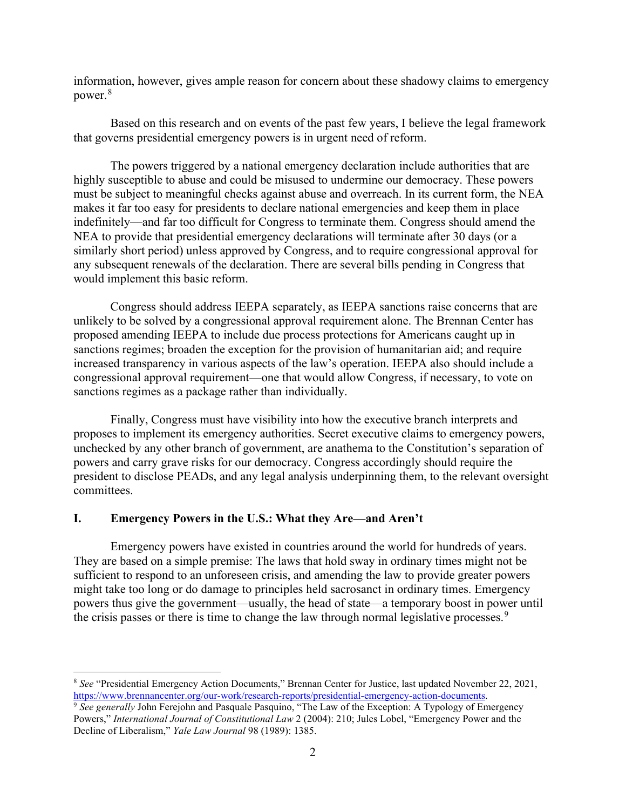information, however, gives ample reason for concern about these shadowy claims to emergency power.[8](#page-2-0)

Based on this research and on events of the past few years, I believe the legal framework that governs presidential emergency powers is in urgent need of reform.

The powers triggered by a national emergency declaration include authorities that are highly susceptible to abuse and could be misused to undermine our democracy. These powers must be subject to meaningful checks against abuse and overreach. In its current form, the NEA makes it far too easy for presidents to declare national emergencies and keep them in place indefinitely—and far too difficult for Congress to terminate them. Congress should amend the NEA to provide that presidential emergency declarations will terminate after 30 days (or a similarly short period) unless approved by Congress, and to require congressional approval for any subsequent renewals of the declaration. There are several bills pending in Congress that would implement this basic reform.

Congress should address IEEPA separately, as IEEPA sanctions raise concerns that are unlikely to be solved by a congressional approval requirement alone. The Brennan Center has proposed amending IEEPA to include due process protections for Americans caught up in sanctions regimes; broaden the exception for the provision of humanitarian aid; and require increased transparency in various aspects of the law's operation. IEEPA also should include a congressional approval requirement—one that would allow Congress, if necessary, to vote on sanctions regimes as a package rather than individually.

Finally, Congress must have visibility into how the executive branch interprets and proposes to implement its emergency authorities. Secret executive claims to emergency powers, unchecked by any other branch of government, are anathema to the Constitution's separation of powers and carry grave risks for our democracy. Congress accordingly should require the president to disclose PEADs, and any legal analysis underpinning them, to the relevant oversight committees.

#### **I. Emergency Powers in the U.S.: What they Are—and Aren't**

Emergency powers have existed in countries around the world for hundreds of years. They are based on a simple premise: The laws that hold sway in ordinary times might not be sufficient to respond to an unforeseen crisis, and amending the law to provide greater powers might take too long or do damage to principles held sacrosanct in ordinary times. Emergency powers thus give the government—usually, the head of state—a temporary boost in power until the crisis passes or there is time to change the law through normal legislative processes.<sup>[9](#page-2-1)</sup>

<span id="page-2-0"></span><sup>8</sup> *See* "Presidential Emergency Action Documents," Brennan Center for Justice, last updated November 22, 2021, [https://www.brennancenter.org/our-work/research-reports/presidential-emergency-action-documents.](https://www.brennancenter.org/our-work/research-reports/presidential-emergency-action-documents) 9 *See generally* John Ferejohn and Pasquale Pasquino, "The Law of the Exception: A Typology of Emergency

<span id="page-2-1"></span>Powers," *International Journal of Constitutional Law* 2 (2004): 210; Jules Lobel, "Emergency Power and the Decline of Liberalism," *Yale Law Journal* 98 (1989): 1385.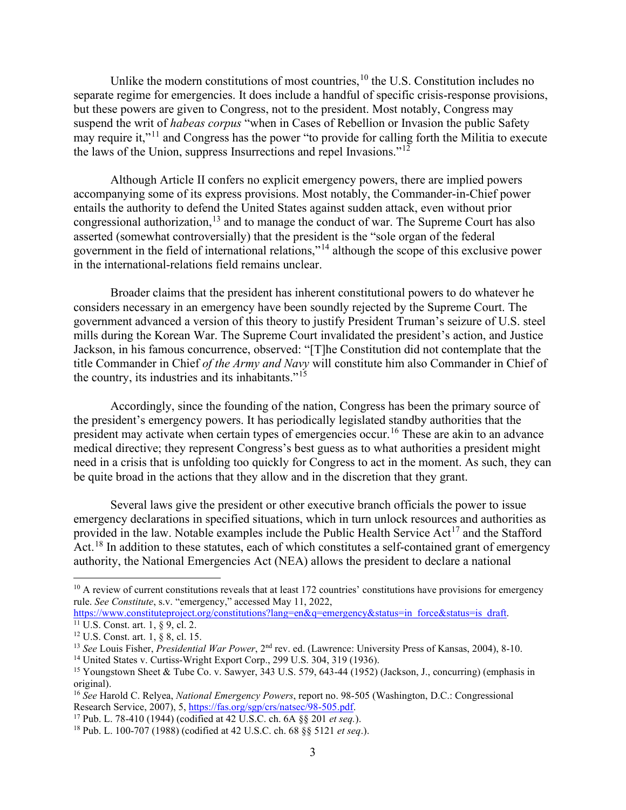Unlike the modern constitutions of most countries,<sup>[10](#page-3-0)</sup> the U.S. Constitution includes no separate regime for emergencies. It does include a handful of specific crisis-response provisions, but these powers are given to Congress, not to the president. Most notably, Congress may suspend the writ of *habeas corpus* "when in Cases of Rebellion or Invasion the public Safety may require it,"<sup>[11](#page-3-1)</sup> and Congress has the power "to provide for calling forth the Militia to execute the laws of the Union, suppress Insurrections and repel Invasions."[12](#page-3-2)

Although Article II confers no explicit emergency powers, there are implied powers accompanying some of its express provisions. Most notably, the Commander-in-Chief power entails the authority to defend the United States against sudden attack, even without prior congressional authorization,<sup>[13](#page-3-3)</sup> and to manage the conduct of war. The Supreme Court has also asserted (somewhat controversially) that the president is the "sole organ of the federal government in the field of international relations,"[14](#page-3-4) although the scope of this exclusive power in the international-relations field remains unclear.

Broader claims that the president has inherent constitutional powers to do whatever he considers necessary in an emergency have been soundly rejected by the Supreme Court. The government advanced a version of this theory to justify President Truman's seizure of U.S. steel mills during the Korean War. The Supreme Court invalidated the president's action, and Justice Jackson, in his famous concurrence, observed: "[T]he Constitution did not contemplate that the title Commander in Chief *of the Army and Navy* will constitute him also Commander in Chief of the country, its industries and its inhabitants."[15](#page-3-5) 

Accordingly, since the founding of the nation, Congress has been the primary source of the president's emergency powers. It has periodically legislated standby authorities that the president may activate when certain types of emergencies occur.<sup>[16](#page-3-6)</sup> These are akin to an advance medical directive; they represent Congress's best guess as to what authorities a president might need in a crisis that is unfolding too quickly for Congress to act in the moment. As such, they can be quite broad in the actions that they allow and in the discretion that they grant.

Several laws give the president or other executive branch officials the power to issue emergency declarations in specified situations, which in turn unlock resources and authorities as provided in the law. Notable examples include the Public Health Service  $Act^{17}$  $Act^{17}$  $Act^{17}$  and the Stafford Act.<sup>[18](#page-3-8)</sup> In addition to these statutes, each of which constitutes a self-contained grant of emergency authority, the National Emergencies Act (NEA) allows the president to declare a national

<span id="page-3-0"></span> $10$  A review of current constitutions reveals that at least 172 countries' constitutions have provisions for emergency rule. *See Constitute*, s.v. "emergency," accessed May 11, 2022,

<span id="page-3-1"></span>[https://www.constituteproject.org/constitutions?lang=en&q=emergency&status=in\\_force&status=is\\_draft.](https://www.constituteproject.org/constitutions?lang=en&q=emergency&status=in_force&status=is_draft)<br><sup>11</sup> U.S. Const. art. 1, § 9, cl. 2.

<sup>12</sup> U.S. Const. art. 1, § 8, cl. 15.

<span id="page-3-3"></span><span id="page-3-2"></span><sup>&</sup>lt;sup>13</sup> *See* Louis Fisher, *Presidential War Power*, 2<sup>nd</sup> rev. ed. (Lawrence: University Press of Kansas, 2004), 8-10.

<span id="page-3-4"></span><sup>14</sup> United States v. Curtiss-Wright Export Corp., 299 U.S. 304, 319 (1936).

<span id="page-3-5"></span><sup>15</sup> Youngstown Sheet & Tube Co. v. Sawyer, 343 U.S. 579, 643-44 (1952) (Jackson, J., concurring) (emphasis in original).

<span id="page-3-6"></span><sup>&</sup>lt;sup>16</sup> *See* Harold C. Relyea, *National Emergency Powers*, report no. 98-505 (Washington, D.C.: Congressional Research Service, 2007), 5, https://fas.org/sgp/crs/natsec/98-505.pdf.

<span id="page-3-7"></span><sup>&</sup>lt;sup>17</sup> Pub. L. 78-410 (1944) (codified at 42 U.S.C. ch. 6A §§ 201 *et seq.*).

<span id="page-3-8"></span><sup>18</sup> Pub. L. 100-707 (1988) (codified at 42 U.S.C. ch. 68 §§ 5121 *et seq*.).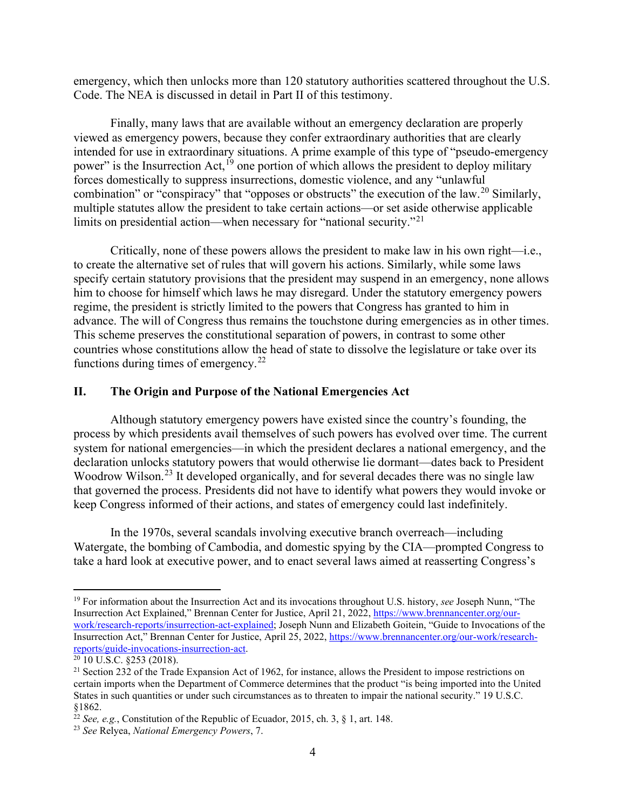emergency, which then unlocks more than 120 statutory authorities scattered throughout the U.S. Code. The NEA is discussed in detail in Part II of this testimony.

Finally, many laws that are available without an emergency declaration are properly viewed as emergency powers, because they confer extraordinary authorities that are clearly intended for use in extraordinary situations. A prime example of this type of "pseudo-emergency power" is the Insurrection Act,<sup>[19](#page-4-0)</sup> one portion of which allows the president to deploy military forces domestically to suppress insurrections, domestic violence, and any "unlawful combination" or "conspiracy" that "opposes or obstructs" the execution of the law.<sup>[20](#page-4-1)</sup> Similarly, multiple statutes allow the president to take certain actions—or set aside otherwise applicable limits on presidential action—when necessary for "national security."<sup>[21](#page-4-2)</sup>

Critically, none of these powers allows the president to make law in his own right—i.e., to create the alternative set of rules that will govern his actions. Similarly, while some laws specify certain statutory provisions that the president may suspend in an emergency, none allows him to choose for himself which laws he may disregard. Under the statutory emergency powers regime, the president is strictly limited to the powers that Congress has granted to him in advance. The will of Congress thus remains the touchstone during emergencies as in other times. This scheme preserves the constitutional separation of powers, in contrast to some other countries whose constitutions allow the head of state to dissolve the legislature or take over its functions during times of emergency. $^{22}$  $^{22}$  $^{22}$ 

#### **II. The Origin and Purpose of the National Emergencies Act**

Although statutory emergency powers have existed since the country's founding, the process by which presidents avail themselves of such powers has evolved over time. The current system for national emergencies—in which the president declares a national emergency, and the declaration unlocks statutory powers that would otherwise lie dormant—dates back to President Woodrow Wilson.<sup>[23](#page-4-4)</sup> It developed organically, and for several decades there was no single law that governed the process. Presidents did not have to identify what powers they would invoke or keep Congress informed of their actions, and states of emergency could last indefinitely.

In the 1970s, several scandals involving executive branch overreach—including Watergate, the bombing of Cambodia, and domestic spying by the CIA—prompted Congress to take a hard look at executive power, and to enact several laws aimed at reasserting Congress's

<span id="page-4-0"></span><sup>19</sup> For information about the Insurrection Act and its invocations throughout U.S. history, *see* Joseph Nunn, "The Insurrection Act Explained," Brennan Center for Justice, April 21, 2022, [https://www.brennancenter.org/our](https://www.brennancenter.org/our-work/research-reports/insurrection-act-explained)[work/research-reports/insurrection-act-explained;](https://www.brennancenter.org/our-work/research-reports/insurrection-act-explained) Joseph Nunn and Elizabeth Goitein, "Guide to Invocations of the Insurrection Act," Brennan Center for Justice, April 25, 2022, [https://www.brennancenter.org/our-work/research](https://www.brennancenter.org/our-work/research-reports/guide-invocations-insurrection-act)[reports/guide-invocations-insurrection-act.](https://www.brennancenter.org/our-work/research-reports/guide-invocations-insurrection-act) 20 10 U.S.C. §253 (2018).

<span id="page-4-1"></span>

<span id="page-4-2"></span><sup>&</sup>lt;sup>21</sup> Section 232 of the Trade Expansion Act of 1962, for instance, allows the President to impose restrictions on certain imports when the Department of Commerce determines that the product "is being imported into the United States in such quantities or under such circumstances as to threaten to impair the national security." 19 U.S.C. §1862.

<span id="page-4-3"></span><sup>22</sup> *See, e.g.*, Constitution of the Republic of Ecuador, 2015, ch. 3, § 1, art. 148.

<span id="page-4-4"></span><sup>23</sup> *See* Relyea, *National Emergency Powers*, 7.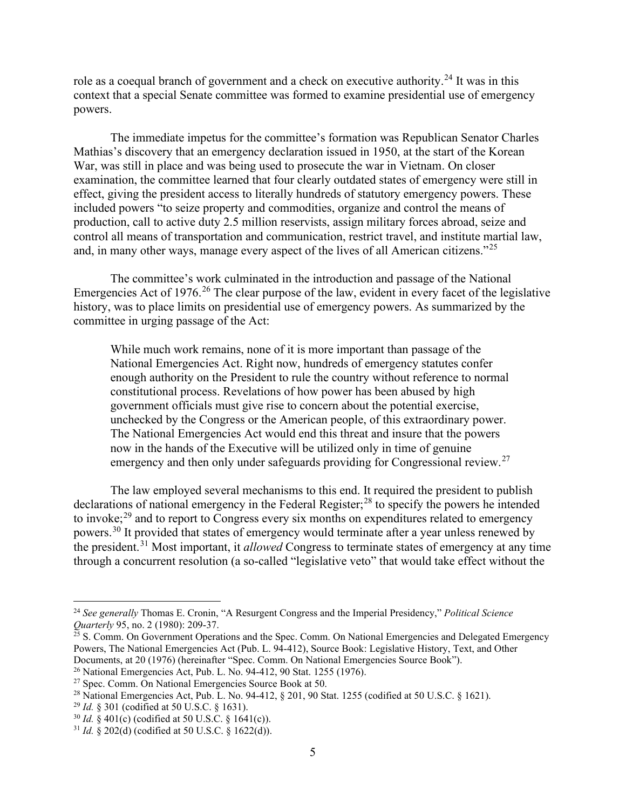role as a coequal branch of government and a check on executive authority.<sup>[24](#page-5-0)</sup> It was in this context that a special Senate committee was formed to examine presidential use of emergency powers.

The immediate impetus for the committee's formation was Republican Senator Charles Mathias's discovery that an emergency declaration issued in 1950, at the start of the Korean War, was still in place and was being used to prosecute the war in Vietnam. On closer examination, the committee learned that four clearly outdated states of emergency were still in effect, giving the president access to literally hundreds of statutory emergency powers. These included powers "to seize property and commodities, organize and control the means of production, call to active duty 2.5 million reservists, assign military forces abroad, seize and control all means of transportation and communication, restrict travel, and institute martial law, and, in many other ways, manage every aspect of the lives of all American citizens."<sup>[25](#page-5-1)</sup>

The committee's work culminated in the introduction and passage of the National Emergencies Act of 1976.<sup>[26](#page-5-2)</sup> The clear purpose of the law, evident in every facet of the legislative history, was to place limits on presidential use of emergency powers. As summarized by the committee in urging passage of the Act:

While much work remains, none of it is more important than passage of the National Emergencies Act. Right now, hundreds of emergency statutes confer enough authority on the President to rule the country without reference to normal constitutional process. Revelations of how power has been abused by high government officials must give rise to concern about the potential exercise, unchecked by the Congress or the American people, of this extraordinary power. The National Emergencies Act would end this threat and insure that the powers now in the hands of the Executive will be utilized only in time of genuine emergency and then only under safeguards providing for Congressional review.<sup>[27](#page-5-3)</sup>

The law employed several mechanisms to this end. It required the president to publish declarations of national emergency in the Federal Register;<sup>[28](#page-5-4)</sup> to specify the powers he intended to invoke; $^{29}$  $^{29}$  $^{29}$  and to report to Congress every six months on expenditures related to emergency powers.[30](#page-5-6) It provided that states of emergency would terminate after a year unless renewed by the president.[31](#page-5-7) Most important, it *allowed* Congress to terminate states of emergency at any time through a concurrent resolution (a so-called "legislative veto" that would take effect without the

<span id="page-5-0"></span><sup>24</sup> *See generally* Thomas E. Cronin, "A Resurgent Congress and the Imperial Presidency," *Political Science Quarterly* 95, no. 2 (1980): 209-37.

<span id="page-5-1"></span> $25$  S. Comm. On Government Operations and the Spec. Comm. On National Emergencies and Delegated Emergency Powers, The National Emergencies Act (Pub. L. 94-412), Source Book: Legislative History, Text, and Other Documents, at 20 (1976) (hereinafter "Spec. Comm. On National Emergencies Source Book").

<span id="page-5-2"></span><sup>&</sup>lt;sup>26</sup> National Emergencies Act, Pub. L. No. 94-412, 90 Stat. 1255 (1976).

<span id="page-5-3"></span> $27$  Spec. Comm. On National Emergencies Source Book at 50.

<span id="page-5-4"></span><sup>28</sup> National Emergencies Act, Pub. L. No. 94-412, § 201, 90 Stat. 1255 (codified at 50 U.S.C. § 1621).

<span id="page-5-5"></span><sup>29</sup> *Id.* § 301 (codified at 50 U.S.C. § 1631).

<span id="page-5-6"></span><sup>30</sup> *Id.* § 401(c) (codified at 50 U.S.C. § 1641(c)).

<span id="page-5-7"></span><sup>31</sup> *Id.* § 202(d) (codified at 50 U.S.C. § 1622(d)).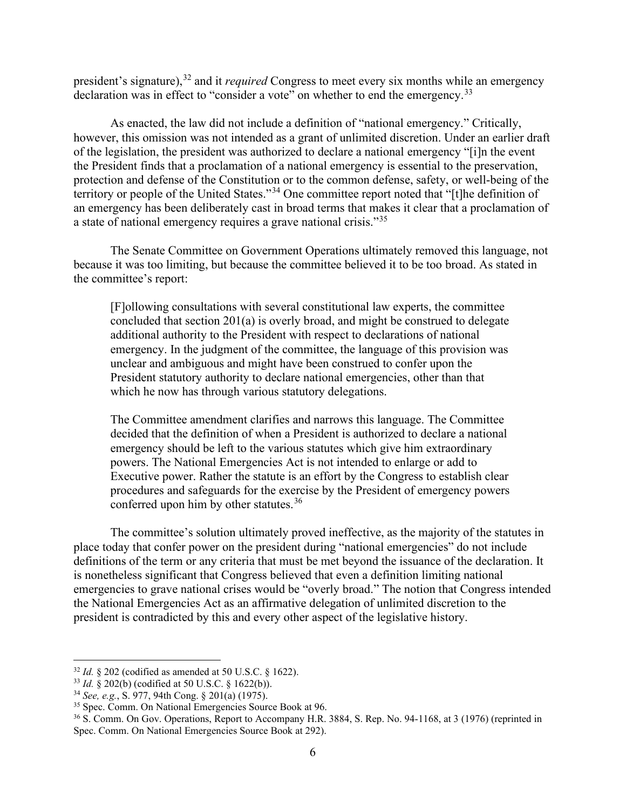president's signature), [32](#page-6-0) and it *required* Congress to meet every six months while an emergency declaration was in effect to "consider a vote" on whether to end the emergency.<sup>[33](#page-6-1)</sup>

As enacted, the law did not include a definition of "national emergency." Critically, however, this omission was not intended as a grant of unlimited discretion. Under an earlier draft of the legislation, the president was authorized to declare a national emergency "[i]n the event the President finds that a proclamation of a national emergency is essential to the preservation, protection and defense of the Constitution or to the common defense, safety, or well-being of the territory or people of the United States."[34](#page-6-2) One committee report noted that "[t]he definition of an emergency has been deliberately cast in broad terms that makes it clear that a proclamation of a state of national emergency requires a grave national crisis."[35](#page-6-3)

The Senate Committee on Government Operations ultimately removed this language, not because it was too limiting, but because the committee believed it to be too broad. As stated in the committee's report:

[F]ollowing consultations with several constitutional law experts, the committee concluded that section 201(a) is overly broad, and might be construed to delegate additional authority to the President with respect to declarations of national emergency. In the judgment of the committee, the language of this provision was unclear and ambiguous and might have been construed to confer upon the President statutory authority to declare national emergencies, other than that which he now has through various statutory delegations.

The Committee amendment clarifies and narrows this language. The Committee decided that the definition of when a President is authorized to declare a national emergency should be left to the various statutes which give him extraordinary powers. The National Emergencies Act is not intended to enlarge or add to Executive power. Rather the statute is an effort by the Congress to establish clear procedures and safeguards for the exercise by the President of emergency powers conferred upon him by other statutes.<sup>[36](#page-6-4)</sup>

The committee's solution ultimately proved ineffective, as the majority of the statutes in place today that confer power on the president during "national emergencies" do not include definitions of the term or any criteria that must be met beyond the issuance of the declaration. It is nonetheless significant that Congress believed that even a definition limiting national emergencies to grave national crises would be "overly broad." The notion that Congress intended the National Emergencies Act as an affirmative delegation of unlimited discretion to the president is contradicted by this and every other aspect of the legislative history.

<span id="page-6-0"></span><sup>32</sup> *Id.* § 202 (codified as amended at 50 U.S.C. § 1622).

<span id="page-6-1"></span><sup>33</sup> *Id.* § 202(b) (codified at 50 U.S.C. § 1622(b)).

<span id="page-6-3"></span><span id="page-6-2"></span><sup>34</sup> *See, e.g.*, S. 977, 94th Cong. § 201(a) (1975). 35 Spec. Comm. On National Emergencies Source Book at 96.

<span id="page-6-4"></span><sup>36</sup> S. Comm. On Gov. Operations, Report to Accompany H.R. 3884, S. Rep. No. 94-1168, at 3 (1976) (reprinted in Spec. Comm. On National Emergencies Source Book at 292).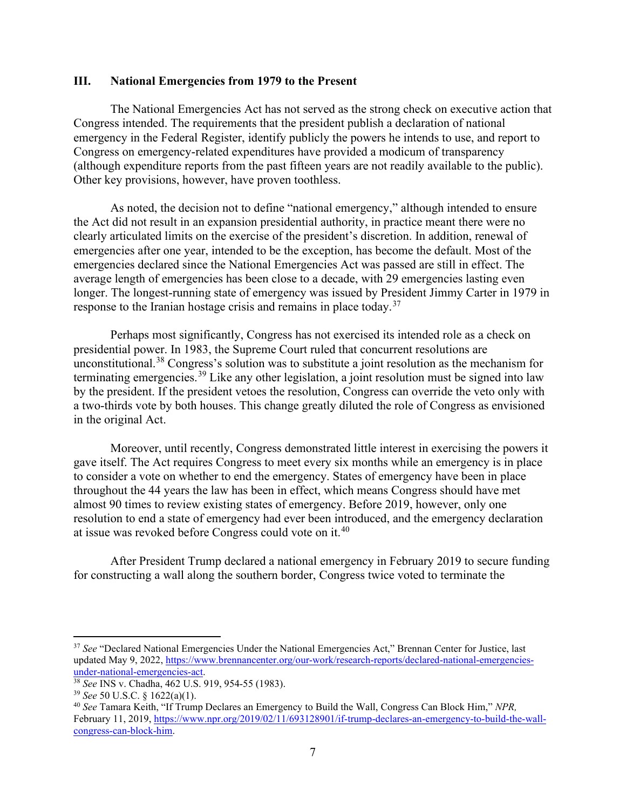#### **III. National Emergencies from 1979 to the Present**

The National Emergencies Act has not served as the strong check on executive action that Congress intended. The requirements that the president publish a declaration of national emergency in the Federal Register, identify publicly the powers he intends to use, and report to Congress on emergency-related expenditures have provided a modicum of transparency (although expenditure reports from the past fifteen years are not readily available to the public). Other key provisions, however, have proven toothless.

As noted, the decision not to define "national emergency," although intended to ensure the Act did not result in an expansion presidential authority, in practice meant there were no clearly articulated limits on the exercise of the president's discretion. In addition, renewal of emergencies after one year, intended to be the exception, has become the default. Most of the emergencies declared since the National Emergencies Act was passed are still in effect. The average length of emergencies has been close to a decade, with 29 emergencies lasting even longer. The longest-running state of emergency was issued by President Jimmy Carter in 1979 in response to the Iranian hostage crisis and remains in place today.<sup>[37](#page-7-0)</sup>

Perhaps most significantly, Congress has not exercised its intended role as a check on presidential power. In 1983, the Supreme Court ruled that concurrent resolutions are unconstitutional.<sup>[38](#page-7-1)</sup> Congress's solution was to substitute a joint resolution as the mechanism for terminating emergencies.<sup>[39](#page-7-2)</sup> Like any other legislation, a joint resolution must be signed into law by the president. If the president vetoes the resolution, Congress can override the veto only with a two-thirds vote by both houses. This change greatly diluted the role of Congress as envisioned in the original Act.

Moreover, until recently, Congress demonstrated little interest in exercising the powers it gave itself. The Act requires Congress to meet every six months while an emergency is in place to consider a vote on whether to end the emergency. States of emergency have been in place throughout the 44 years the law has been in effect, which means Congress should have met almost 90 times to review existing states of emergency. Before 2019, however, only one resolution to end a state of emergency had ever been introduced, and the emergency declaration at issue was revoked before Congress could vote on it.<sup>[40](#page-7-3)</sup>

After President Trump declared a national emergency in February 2019 to secure funding for constructing a wall along the southern border, Congress twice voted to terminate the

<span id="page-7-0"></span><sup>&</sup>lt;sup>37</sup> See "Declared National Emergencies Under the National Emergencies Act," Brennan Center for Justice, last updated May 9, 2022, https://www.brennancenter.org/our-work/research-reports/declared-national-emergencies-<br>under-national-emergencies-act.

<span id="page-7-1"></span><sup>&</sup>lt;sup>38</sup> *See* INS v. Chadha, 462 U.S. 919, 954-55 (1983).

<span id="page-7-2"></span><sup>39</sup> *See* 50 U.S.C. § 1622(a)(1).

<span id="page-7-3"></span><sup>40</sup> *See* Tamara Keith, "If Trump Declares an Emergency to Build the Wall, Congress Can Block Him," *NPR,*  February 11, 2019[, https://www.npr.org/2019/02/11/693128901/if-trump-declares-an-emergency-to-build-the-wall](https://www.npr.org/2019/02/11/693128901/if-trump-declares-an-emergency-to-build-the-wall-congress-can-block-him)[congress-can-block-him.](https://www.npr.org/2019/02/11/693128901/if-trump-declares-an-emergency-to-build-the-wall-congress-can-block-him)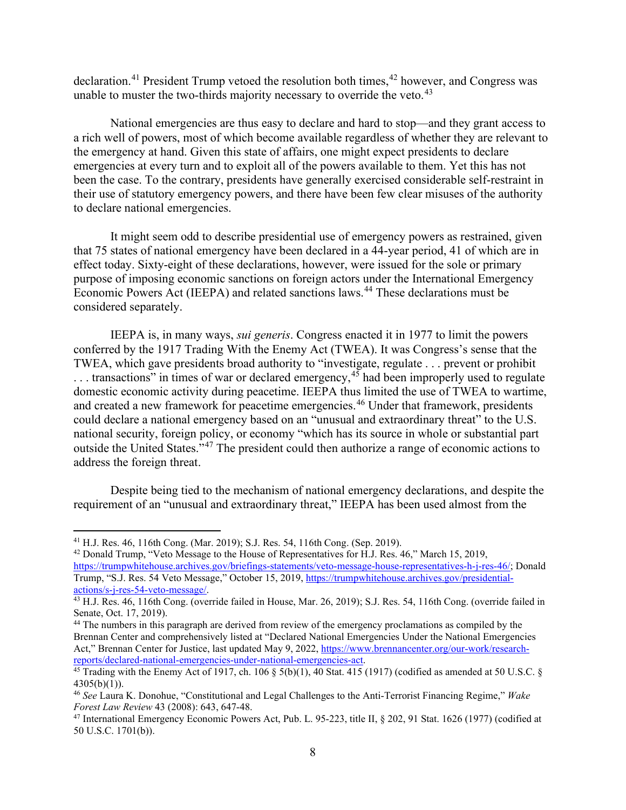declaration.<sup>[41](#page-8-0)</sup> President Trump vetoed the resolution both times,  $42$  however, and Congress was unable to muster the two-thirds majority necessary to override the veto. $43$ 

National emergencies are thus easy to declare and hard to stop—and they grant access to a rich well of powers, most of which become available regardless of whether they are relevant to the emergency at hand. Given this state of affairs, one might expect presidents to declare emergencies at every turn and to exploit all of the powers available to them. Yet this has not been the case. To the contrary, presidents have generally exercised considerable self-restraint in their use of statutory emergency powers, and there have been few clear misuses of the authority to declare national emergencies.

It might seem odd to describe presidential use of emergency powers as restrained, given that 75 states of national emergency have been declared in a 44-year period, 41 of which are in effect today. Sixty-eight of these declarations, however, were issued for the sole or primary purpose of imposing economic sanctions on foreign actors under the International Emergency Economic Powers Act (IEEPA) and related sanctions laws.<sup>[44](#page-8-3)</sup> These declarations must be considered separately.

IEEPA is, in many ways, *sui generis*. Congress enacted it in 1977 to limit the powers conferred by the 1917 Trading With the Enemy Act (TWEA). It was Congress's sense that the TWEA, which gave presidents broad authority to "investigate, regulate . . . prevent or prohibit  $\ldots$  transactions" in times of war or declared emergency,  $45$  had been improperly used to regulate domestic economic activity during peacetime. IEEPA thus limited the use of TWEA to wartime, and created a new framework for peacetime emergencies.[46](#page-8-5) Under that framework, presidents could declare a national emergency based on an "unusual and extraordinary threat" to the U.S. national security, foreign policy, or economy "which has its source in whole or substantial part outside the United States."[47](#page-8-6) The president could then authorize a range of economic actions to address the foreign threat.

Despite being tied to the mechanism of national emergency declarations, and despite the requirement of an "unusual and extraordinary threat," IEEPA has been used almost from the

<span id="page-8-0"></span><sup>41</sup> H.J. Res. 46, 116th Cong. (Mar. 2019); S.J. Res. 54, 116th Cong. (Sep. 2019).

<span id="page-8-1"></span><sup>42</sup> Donald Trump, "Veto Message to the House of Representatives for H.J. Res. 46," March 15, 2019, [https://trumpwhitehouse.archives.gov/briefings-statements/veto-message-house-representatives-h-j-res-46/;](https://trumpwhitehouse.archives.gov/briefings-statements/veto-message-house-representatives-h-j-res-46/) Donald Trump, "S.J. Res. 54 Veto Message," October 15, 2019, [https://trumpwhitehouse.archives.gov/presidential-](https://trumpwhitehouse.archives.gov/presidential-actions/s-j-res-54-veto-message/)

<span id="page-8-2"></span>[actions/s-j-res-54-veto-message/.](https://trumpwhitehouse.archives.gov/presidential-actions/s-j-res-54-veto-message/)<br><sup>43</sup> H.J. Res. 46, 116th Cong. (override failed in House, Mar. 26, 2019); S.J. Res. 54, 116th Cong. (override failed in Senate, Oct. 17, 2019).

<span id="page-8-3"></span><sup>&</sup>lt;sup>44</sup> The numbers in this paragraph are derived from review of the emergency proclamations as compiled by the Brennan Center and comprehensively listed at "Declared National Emergencies Under the National Emergencies Act," Brennan Center for Justice, last updated May 9, 2022, [https://www.brennancenter.org/our-work/research](https://www.brennancenter.org/sites/default/files/analysis/DeclaredNationalEmergenciesUndertheNationalEmergenciesAct_2.14.19.pdf)[reports/declared-national-emergencies-under-national-emergencies-act.](https://www.brennancenter.org/sites/default/files/analysis/DeclaredNationalEmergenciesUndertheNationalEmergenciesAct_2.14.19.pdf)

<span id="page-8-4"></span><sup>&</sup>lt;sup>45</sup> Trading with the Enemy Act of 1917, ch. 106 § 5(b)(1),  $\overline{40}$  Stat. 415 (1917) (codified as amended at 50 U.S.C. § 4305(b)(1)).

<span id="page-8-5"></span><sup>46</sup> *See* Laura K. Donohue, "Constitutional and Legal Challenges to the Anti-Terrorist Financing Regime," *Wake Forest Law Review* 43 (2008): 643, 647-48.

<span id="page-8-6"></span><sup>47</sup> International Emergency Economic Powers Act, Pub. L. 95-223, title II, § 202, 91 Stat. 1626 (1977) (codified at 50 U.S.C. 1701(b)).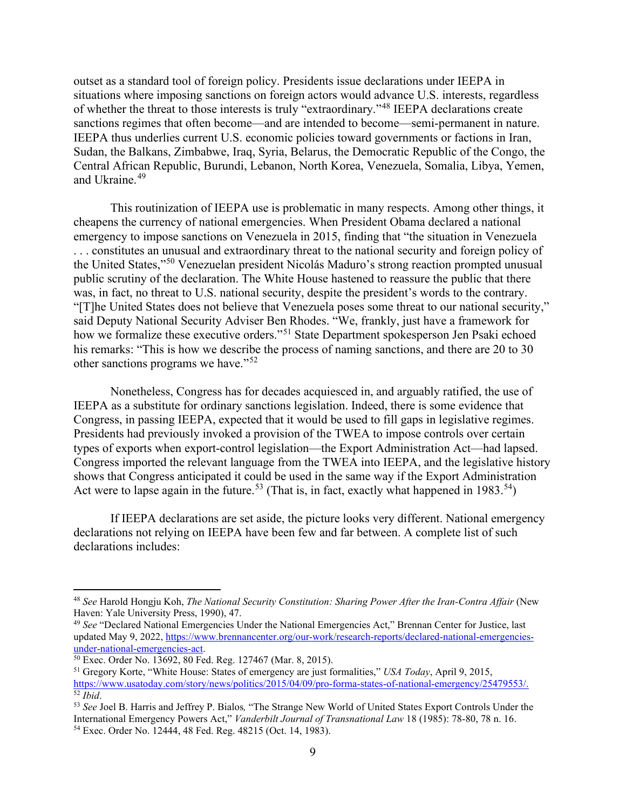outset as a standard tool of foreign policy. Presidents issue declarations under IEEPA in situations where imposing sanctions on foreign actors would advance U.S. interests, regardless of whether the threat to those interests is truly "extraordinary."[48](#page-9-0) IEEPA declarations create sanctions regimes that often become—and are intended to become—semi-permanent in nature. IEEPA thus underlies current U.S. economic policies toward governments or factions in Iran, Sudan, the Balkans, Zimbabwe, Iraq, Syria, Belarus, the Democratic Republic of the Congo, the Central African Republic, Burundi, Lebanon, North Korea, Venezuela, Somalia, Libya, Yemen, and Ukraine.<sup>49</sup>

This routinization of IEEPA use is problematic in many respects. Among other things, it cheapens the currency of national emergencies. When President Obama declared a national emergency to impose sanctions on Venezuela in 2015, finding that "the situation in Venezuela . . . constitutes an unusual and extraordinary threat to the national security and foreign policy of the United States,"[50](#page-9-2) Venezuelan president Nicolás Maduro's strong reaction prompted unusual public scrutiny of the declaration. The White House hastened to reassure the public that there was, in fact, no threat to U.S. national security, despite the president's words to the contrary. "[T]he United States does not believe that Venezuela poses some threat to our national security," said Deputy National Security Adviser Ben Rhodes. "We, frankly, just have a framework for how we formalize these executive orders."<sup>[51](#page-9-3)</sup> State Department spokesperson Jen Psaki echoed his remarks: "This is how we describe the process of naming sanctions, and there are 20 to 30 other sanctions programs we have."[52](#page-9-4)

Nonetheless, Congress has for decades acquiesced in, and arguably ratified, the use of IEEPA as a substitute for ordinary sanctions legislation. Indeed, there is some evidence that Congress, in passing IEEPA, expected that it would be used to fill gaps in legislative regimes. Presidents had previously invoked a provision of the TWEA to impose controls over certain types of exports when export-control legislation—the Export Administration Act—had lapsed. Congress imported the relevant language from the TWEA into IEEPA, and the legislative history shows that Congress anticipated it could be used in the same way if the Export Administration Act were to lapse again in the future.<sup>[53](#page-9-5)</sup> (That is, in fact, exactly what happened in 1983.<sup>[54](#page-9-6)</sup>)

If IEEPA declarations are set aside, the picture looks very different. National emergency declarations not relying on IEEPA have been few and far between. A complete list of such declarations includes:

<span id="page-9-0"></span><sup>48</sup> *See* Harold Hongju Koh, *The National Security Constitution: Sharing Power After the Iran-Contra Affair* (New Haven: Yale University Press, 1990), 47.

<span id="page-9-1"></span><sup>49</sup> *See* "Declared National Emergencies Under the National Emergencies Act," Brennan Center for Justice, last updated May 9, 2022, [https://www.brennancenter.org/our-work/research-reports/declared-national-emergencies](https://www.brennancenter.org/sites/default/files/analysis/DeclaredNationalEmergenciesUndertheNationalEmergenciesAct_2.14.19.pdf)[under-national-emergencies-act.](https://www.brennancenter.org/sites/default/files/analysis/DeclaredNationalEmergenciesUndertheNationalEmergenciesAct_2.14.19.pdf)

<span id="page-9-2"></span><sup>50</sup> Exec. Order No. 13692, 80 Fed. Reg. 127467 (Mar. 8, 2015).

<span id="page-9-3"></span><sup>51</sup> Gregory Korte, "White House: States of emergency are just formalities," *USA Today*, April 9, 2015, [https://www.usatoday.com/story/news/politics/2015/04/09/pro-forma-states-of-national-emergency/25479553/.](https://www.usatoday.com/story/news/politics/2015/04/09/pro-forma-states-of-national-emergency/25479553/) <sup>52</sup> *Ibid*.

<span id="page-9-6"></span><span id="page-9-5"></span><span id="page-9-4"></span><sup>53</sup> *See* Joel B. Harris and Jeffrey P. Bialos*,* "The Strange New World of United States Export Controls Under the International Emergency Powers Act," *Vanderbilt Journal of Transnational Law* 18 (1985): 78-80, 78 n. 16. <sup>54</sup> Exec. Order No. 12444, 48 Fed. Reg. 48215 (Oct. 14, 1983).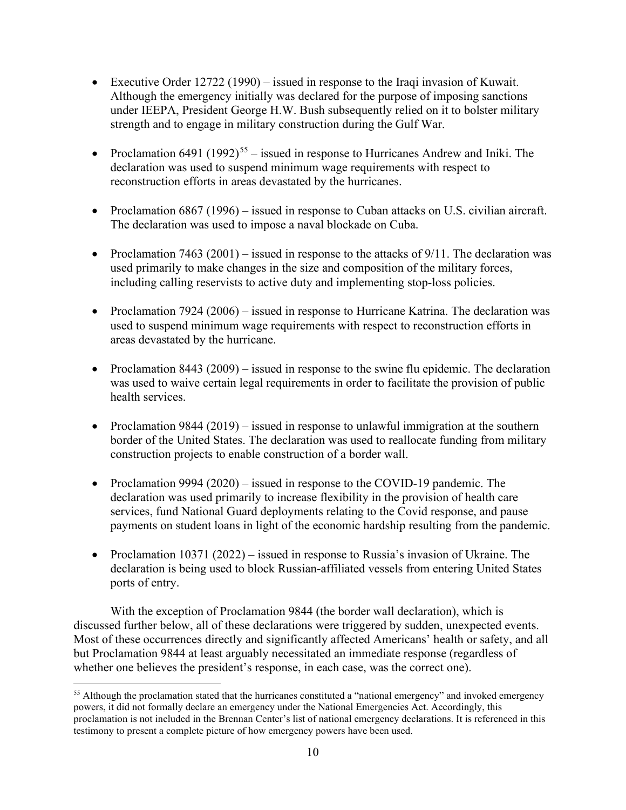- Executive Order 12722 (1990) issued in response to the Iraqi invasion of Kuwait. Although the emergency initially was declared for the purpose of imposing sanctions under IEEPA, President George H.W. Bush subsequently relied on it to bolster military strength and to engage in military construction during the Gulf War.
- Proclamation 6491 (1992)<sup>[55](#page-10-0)</sup> issued in response to Hurricanes Andrew and Iniki. The declaration was used to suspend minimum wage requirements with respect to reconstruction efforts in areas devastated by the hurricanes.
- Proclamation 6867 (1996) issued in response to Cuban attacks on U.S. civilian aircraft. The declaration was used to impose a naval blockade on Cuba.
- Proclamation 7463 (2001) issued in response to the attacks of  $9/11$ . The declaration was used primarily to make changes in the size and composition of the military forces, including calling reservists to active duty and implementing stop-loss policies.
- Proclamation 7924 (2006) issued in response to Hurricane Katrina. The declaration was used to suspend minimum wage requirements with respect to reconstruction efforts in areas devastated by the hurricane.
- Proclamation 8443 (2009) issued in response to the swine flu epidemic. The declaration was used to waive certain legal requirements in order to facilitate the provision of public health services.
- Proclamation 9844 (2019) issued in response to unlawful immigration at the southern border of the United States. The declaration was used to reallocate funding from military construction projects to enable construction of a border wall.
- Proclamation 9994 (2020) issued in response to the COVID-19 pandemic. The declaration was used primarily to increase flexibility in the provision of health care services, fund National Guard deployments relating to the Covid response, and pause payments on student loans in light of the economic hardship resulting from the pandemic.
- Proclamation 10371 (2022) issued in response to Russia's invasion of Ukraine. The declaration is being used to block Russian-affiliated vessels from entering United States ports of entry.

With the exception of Proclamation 9844 (the border wall declaration), which is discussed further below, all of these declarations were triggered by sudden, unexpected events. Most of these occurrences directly and significantly affected Americans' health or safety, and all but Proclamation 9844 at least arguably necessitated an immediate response (regardless of whether one believes the president's response, in each case, was the correct one).

<span id="page-10-0"></span><sup>&</sup>lt;sup>55</sup> Although the proclamation stated that the hurricanes constituted a "national emergency" and invoked emergency powers, it did not formally declare an emergency under the National Emergencies Act. Accordingly, this proclamation is not included in the Brennan Center's list of national emergency declarations. It is referenced in this testimony to present a complete picture of how emergency powers have been used.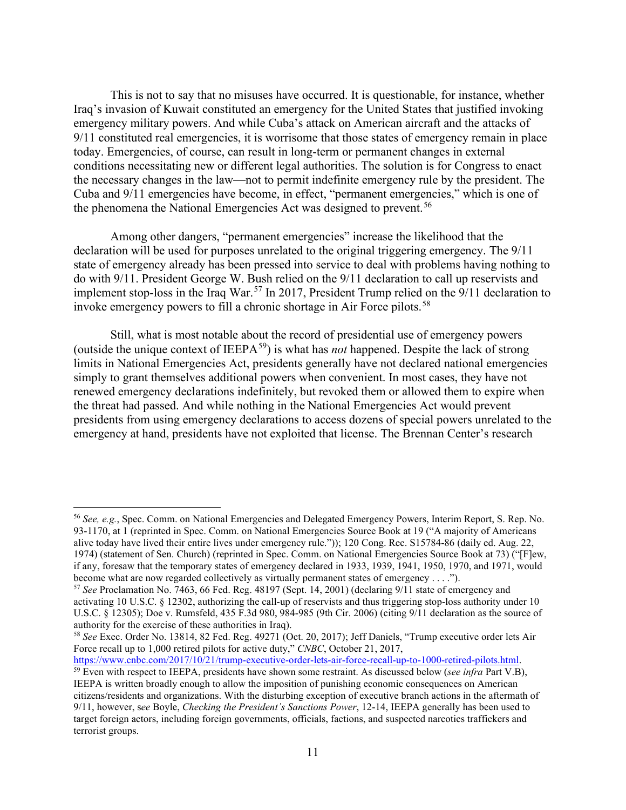This is not to say that no misuses have occurred. It is questionable, for instance, whether Iraq's invasion of Kuwait constituted an emergency for the United States that justified invoking emergency military powers. And while Cuba's attack on American aircraft and the attacks of 9/11 constituted real emergencies, it is worrisome that those states of emergency remain in place today. Emergencies, of course, can result in long-term or permanent changes in external conditions necessitating new or different legal authorities. The solution is for Congress to enact the necessary changes in the law—not to permit indefinite emergency rule by the president. The Cuba and 9/11 emergencies have become, in effect, "permanent emergencies," which is one of the phenomena the National Emergencies Act was designed to prevent.<sup>[56](#page-11-0)</sup>

Among other dangers, "permanent emergencies" increase the likelihood that the declaration will be used for purposes unrelated to the original triggering emergency. The 9/11 state of emergency already has been pressed into service to deal with problems having nothing to do with 9/11. President George W. Bush relied on the 9/11 declaration to call up reservists and implement stop-loss in the Iraq War.<sup>[57](#page-11-1)</sup> In 2017, President Trump relied on the  $9/11$  declaration to invoke emergency powers to fill a chronic shortage in Air Force pilots.<sup>[58](#page-11-2)</sup>

Still, what is most notable about the record of presidential use of emergency powers (outside the unique context of IEEPA[59](#page-11-3)) is what has *not* happened. Despite the lack of strong limits in National Emergencies Act, presidents generally have not declared national emergencies simply to grant themselves additional powers when convenient. In most cases, they have not renewed emergency declarations indefinitely, but revoked them or allowed them to expire when the threat had passed. And while nothing in the National Emergencies Act would prevent presidents from using emergency declarations to access dozens of special powers unrelated to the emergency at hand, presidents have not exploited that license. The Brennan Center's research

<span id="page-11-3"></span>[https://www.cnbc.com/2017/10/21/trump-executive-order-lets-air-force-recall-up-to-1000-retired-pilots.html.](https://www.cnbc.com/2017/10/21/trump-executive-order-lets-air-force-recall-up-to-1000-retired-pilots.html)<br><sup>59</sup> Even with respect to IEEPA, presidents have shown some restraint. As discussed below (*see infra* Part V.B), IEEPA is written broadly enough to allow the imposition of punishing economic consequences on American citizens/residents and organizations. With the disturbing exception of executive branch actions in the aftermath of 9/11, however, s*ee* Boyle, *Checking the President's Sanctions Power*, 12-14, IEEPA generally has been used to target foreign actors, including foreign governments, officials, factions, and suspected narcotics traffickers and terrorist groups.

<span id="page-11-0"></span><sup>56</sup> *See, e.g.*, Spec. Comm. on National Emergencies and Delegated Emergency Powers, Interim Report, S. Rep. No. 93-1170, at 1 (reprinted in Spec. Comm. on National Emergencies Source Book at 19 ("A majority of Americans alive today have lived their entire lives under emergency rule.")); 120 Cong. Rec. S15784-86 (daily ed. Aug. 22, 1974) (statement of Sen. Church) (reprinted in Spec. Comm. on National Emergencies Source Book at 73) ("[F]ew, if any, foresaw that the temporary states of emergency declared in 1933, 1939, 1941, 1950, 1970, and 1971, would become what are now regarded collectively as virtually permanent states of emergency . . . .").

<span id="page-11-1"></span><sup>57</sup> *See* Proclamation No. 7463, 66 Fed. Reg. 48197 (Sept. 14, 2001) (declaring 9/11 state of emergency and activating 10 U.S.C. § 12302, authorizing the call-up of reservists and thus triggering stop-loss authority under 10 U.S.C. § 12305); Doe v. Rumsfeld, 435 F.3d 980, 984-985 (9th Cir. 2006) (citing 9/11 declaration as the source of authority for the exercise of these authorities in Iraq).

<span id="page-11-2"></span><sup>58</sup> *See* Exec. Order No. 13814, 82 Fed. Reg. 49271 (Oct. 20, 2017); Jeff Daniels, "Trump executive order lets Air Force recall up to 1,000 retired pilots for active duty," *CNBC*, October 21, 2017,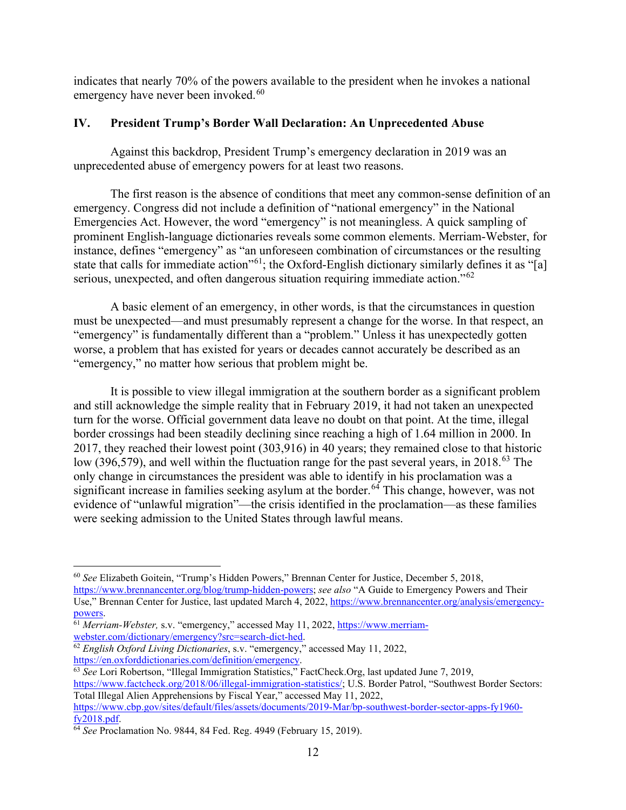indicates that nearly 70% of the powers available to the president when he invokes a national emergency have never been invoked.<sup>[60](#page-12-0)</sup>

## **IV. President Trump's Border Wall Declaration: An Unprecedented Abuse**

Against this backdrop, President Trump's emergency declaration in 2019 was an unprecedented abuse of emergency powers for at least two reasons.

The first reason is the absence of conditions that meet any common-sense definition of an emergency. Congress did not include a definition of "national emergency" in the National Emergencies Act. However, the word "emergency" is not meaningless. A quick sampling of prominent English-language dictionaries reveals some common elements. Merriam-Webster, for instance, defines "emergency" as "an unforeseen combination of circumstances or the resulting state that calls for immediate action<sup>"61</sup>; the Oxford-English dictionary similarly defines it as "[a] serious, unexpected, and often dangerous situation requiring immediate action."<sup>[62](#page-12-2)</sup>

A basic element of an emergency, in other words, is that the circumstances in question must be unexpected—and must presumably represent a change for the worse. In that respect, an "emergency" is fundamentally different than a "problem." Unless it has unexpectedly gotten worse, a problem that has existed for years or decades cannot accurately be described as an "emergency," no matter how serious that problem might be.

It is possible to view illegal immigration at the southern border as a significant problem and still acknowledge the simple reality that in February 2019, it had not taken an unexpected turn for the worse. Official government data leave no doubt on that point. At the time, illegal border crossings had been steadily declining since reaching a high of 1.64 million in 2000. In 2017, they reached their lowest point (303,916) in 40 years; they remained close to that historic low (396,579), and well within the fluctuation range for the past several years, in 2018.<sup>[63](#page-12-3)</sup> The only change in circumstances the president was able to identify in his proclamation was a significant increase in families seeking asylum at the border. [64](#page-12-4) This change, however, was not evidence of "unlawful migration"—the crisis identified in the proclamation—as these families were seeking admission to the United States through lawful means.

<span id="page-12-0"></span><sup>60</sup> *See* Elizabeth Goitein, "Trump's Hidden Powers," Brennan Center for Justice, December 5, 2018,

[https://www.brennancenter.org/blog/trump-hidden-powers;](https://www.brennancenter.org/blog/trump-hidden-powers) *see also* "A Guide to Emergency Powers and Their Use," Brennan Center for Justice, last updated March 4, 2022, [https://www.brennancenter.org/analysis/emergency-](https://www.brennancenter.org/analysis/emergency-powers)

<span id="page-12-1"></span>[powers.](https://www.brennancenter.org/analysis/emergency-powers)<br><sup>61</sup> *Merriam-Webster*, s.v. "emergency," accessed May 11, 2022, https://www.merriam-<br>webster.com/dictionary/emergency?src=search-dict-hed.

<span id="page-12-2"></span>webster.com/dictionary/emergency.<sup>32</sup> *English Oxford Living Dictionaries*, s.v. "emergency," accessed May 11, 2022, https://en.oxforddictionaries.com/definition/emergency.

<span id="page-12-3"></span><sup>63</sup> *See* Lori Robertson, "Illegal Immigration Statistics," FactCheck.Org, last updated June 7, 2019, [https://www.factcheck.org/2018/06/illegal-immigration-statistics/;](https://www.factcheck.org/2018/06/illegal-immigration-statistics/) U.S. Border Patrol, "Southwest Border Sectors: Total Illegal Alien Apprehensions by Fiscal Year," accessed May 11, 2022, [https://www.cbp.gov/sites/default/files/assets/documents/2019-Mar/bp-southwest-border-sector-apps-fy1960-](https://www.cbp.gov/sites/default/files/assets/documents/2019-Mar/bp-southwest-border-sector-apps-fy1960-fy2018.pdf)<br>fy2018.pdf.

<span id="page-12-4"></span><sup>&</sup>lt;sup>64</sup> *See* Proclamation No. 9844, 84 Fed. Reg. 4949 (February 15, 2019).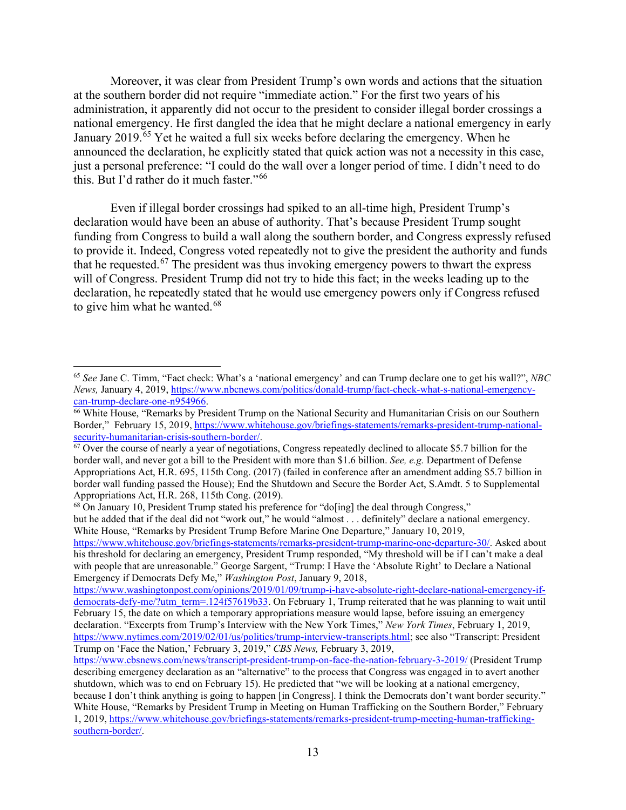Moreover, it was clear from President Trump's own words and actions that the situation at the southern border did not require "immediate action." For the first two years of his administration, it apparently did not occur to the president to consider illegal border crossings a national emergency. He first dangled the idea that he might declare a national emergency in early January 2019.<sup>[65](#page-13-0)</sup> Yet he waited a full six weeks before declaring the emergency. When he announced the declaration, he explicitly stated that quick action was not a necessity in this case, just a personal preference: "I could do the wall over a longer period of time. I didn't need to do this. But I'd rather do it much faster."[66](#page-13-1)

Even if illegal border crossings had spiked to an all-time high, President Trump's declaration would have been an abuse of authority. That's because President Trump sought funding from Congress to build a wall along the southern border, and Congress expressly refused to provide it. Indeed, Congress voted repeatedly not to give the president the authority and funds that he requested.<sup>[67](#page-13-2)</sup> The president was thus invoking emergency powers to thwart the express will of Congress. President Trump did not try to hide this fact; in the weeks leading up to the declaration, he repeatedly stated that he would use emergency powers only if Congress refused to give him what he wanted. $68$ 

<span id="page-13-0"></span><sup>65</sup> *See* Jane C. Timm, "Fact check: What's a 'national emergency' and can Trump declare one to get his wall?", *NBC News, January 4, 2019, https://www.nbcnews.com/politics/donald-trump/fact-check-what-s-national-emergency-can-trump-declare-one-n954966.* 

<span id="page-13-1"></span><sup>&</sup>lt;sup>66</sup> White House, "Remarks by President Trump on the National Security and Humanitarian Crisis on our Southern Border," February 15, 2019, [https://www.whitehouse.gov/briefings-statements/remarks-president-trump-national](https://www.whitehouse.gov/briefings-statements/remarks-president-trump-national-security-humanitarian-crisis-southern-border/)[security-humanitarian-crisis-southern-border/.](https://www.whitehouse.gov/briefings-statements/remarks-president-trump-national-security-humanitarian-crisis-southern-border/)<br><sup>67</sup> Over the course of nearly a year of negotiations, Congress repeatedly declined to allocate \$5.7 billion for the

<span id="page-13-2"></span>border wall, and never got a bill to the President with more than \$1.6 billion. *See, e.g.* Department of Defense Appropriations Act, H.R. 695, 115th Cong. (2017) (failed in conference after an amendment adding \$5.7 billion in border wall funding passed the House); End the Shutdown and Secure the Border Act, S.Amdt. 5 to Supplemental Appropriations Act, H.R. 268, 115th Cong. (2019).

<span id="page-13-3"></span> $^{68}$  On January 10, President Trump stated his preference for "do[ing] the deal through Congress,"

but he added that if the deal did not "work out," he would "almost . . . definitely" declare a national emergency. White House, "Remarks by President Trump Before Marine One Departure," January 10, 2019,

[https://www.whitehouse.gov/briefings-statements/remarks-president-trump-marine-one-departure-30/.](https://www.whitehouse.gov/briefings-statements/remarks-president-trump-marine-one-departure-30/) Asked about his threshold for declaring an emergency, President Trump responded, "My threshold will be if I can't make a deal with people that are unreasonable." George Sargent, "Trump: I Have the 'Absolute Right' to Declare a National Emergency if Democrats Defy Me," *Washington Post*, January 9, 2018,

[https://www.washingtonpost.com/opinions/2019/01/09/trump-i-have-absolute-right-declare-national-emergency-if](https://www.washingtonpost.com/opinions/2019/01/09/trump-i-have-absolute-right-declare-national-emergency-if-democrats-defy-me/?utm_term=.124f57619b33)[democrats-defy-me/?utm\\_term=.124f57619b33.](https://www.washingtonpost.com/opinions/2019/01/09/trump-i-have-absolute-right-declare-national-emergency-if-democrats-defy-me/?utm_term=.124f57619b33) On February 1, Trump reiterated that he was planning to wait until February 15, the date on which a temporary appropriations measure would lapse, before issuing an emergency declaration. "Excerpts from Trump's Interview with the New York Times," *New York Times*, February 1, 2019, [https://www.nytimes.com/2019/02/01/us/politics/trump-interview-transcripts.html;](https://www.nytimes.com/2019/02/01/us/politics/trump-interview-transcripts.html) see also "Transcript: President Trump on 'Face the Nation,' February 3, 2019," *CBS News,* February 3, 2019,

<https://www.cbsnews.com/news/transcript-president-trump-on-face-the-nation-february-3-2019/> (President Trump describing emergency declaration as an "alternative" to the process that Congress was engaged in to avert another shutdown, which was to end on February 15). He predicted that "we will be looking at a national emergency, because I don't think anything is going to happen [in Congress]. I think the Democrats don't want border security." White House, "Remarks by President Trump in Meeting on Human Trafficking on the Southern Border," February 1, 2019, [https://www.whitehouse.gov/briefings-statements/remarks-president-trump-meeting-human-trafficking](https://www.whitehouse.gov/briefings-statements/remarks-president-trump-meeting-human-trafficking-southern-border/)[southern-border/.](https://www.whitehouse.gov/briefings-statements/remarks-president-trump-meeting-human-trafficking-southern-border/)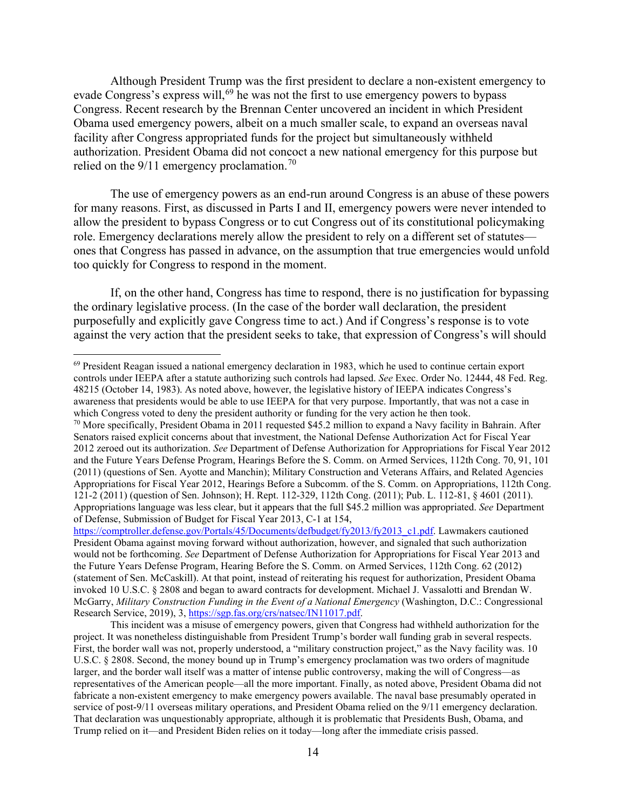Although President Trump was the first president to declare a non-existent emergency to evade Congress's express will,<sup>[69](#page-14-0)</sup> he was not the first to use emergency powers to bypass Congress. Recent research by the Brennan Center uncovered an incident in which President Obama used emergency powers, albeit on a much smaller scale, to expand an overseas naval facility after Congress appropriated funds for the project but simultaneously withheld authorization. President Obama did not concoct a new national emergency for this purpose but relied on the  $9/11$  emergency proclamation.<sup>70</sup>

The use of emergency powers as an end-run around Congress is an abuse of these powers for many reasons. First, as discussed in Parts I and II, emergency powers were never intended to allow the president to bypass Congress or to cut Congress out of its constitutional policymaking role. Emergency declarations merely allow the president to rely on a different set of statutes ones that Congress has passed in advance, on the assumption that true emergencies would unfold too quickly for Congress to respond in the moment.

If, on the other hand, Congress has time to respond, there is no justification for bypassing the ordinary legislative process. (In the case of the border wall declaration, the president purposefully and explicitly gave Congress time to act.) And if Congress's response is to vote against the very action that the president seeks to take, that expression of Congress's will should

<span id="page-14-0"></span><sup>&</sup>lt;sup>69</sup> President Reagan issued a national emergency declaration in 1983, which he used to continue certain export controls under IEEPA after a statute authorizing such controls had lapsed. *See* Exec. Order No. 12444, 48 Fed. Reg. 48215 (October 14, 1983). As noted above, however, the legislative history of IEEPA indicates Congress's awareness that presidents would be able to use IEEPA for that very purpose. Importantly, that was not a case in which Congress voted to deny the president authority or funding for the very action he then took.

<span id="page-14-1"></span><sup>&</sup>lt;sup>70</sup> More specifically, President Obama in 2011 requested \$45.2 million to expand a Navy facility in Bahrain. After Senators raised explicit concerns about that investment, the National Defense Authorization Act for Fiscal Year 2012 zeroed out its authorization. *See* Department of Defense Authorization for Appropriations for Fiscal Year 2012 and the Future Years Defense Program, Hearings Before the S. Comm. on Armed Services, 112th Cong. 70, 91, 101 (2011) (questions of Sen. Ayotte and Manchin); Military Construction and Veterans Affairs, and Related Agencies Appropriations for Fiscal Year 2012, Hearings Before a Subcomm. of the S. Comm. on Appropriations, 112th Cong. 121-2 (2011) (question of Sen. Johnson); H. Rept. 112-329, 112th Cong. (2011); Pub. L. 112-81, § 4601 (2011). Appropriations language was less clear, but it appears that the full \$45.2 million was appropriated. *See* Department of Defense, Submission of Budget for Fiscal Year 2013, C-1 at 154,

[https://comptroller.defense.gov/Portals/45/Documents/defbudget/fy2013/fy2013\\_c1.pdf.](https://comptroller.defense.gov/Portals/45/Documents/defbudget/fy2013/fy2013_c1.pdf) Lawmakers cautioned President Obama against moving forward without authorization, however, and signaled that such authorization would not be forthcoming. *See* Department of Defense Authorization for Appropriations for Fiscal Year 2013 and the Future Years Defense Program, Hearing Before the S. Comm. on Armed Services, 112th Cong. 62 (2012) (statement of Sen. McCaskill). At that point, instead of reiterating his request for authorization, President Obama invoked 10 U.S.C. § 2808 and began to award contracts for development. Michael J. Vassalotti and Brendan W. McGarry, *Military Construction Funding in the Event of a National Emergency* (Washington, D.C.: Congressional Research Service, 2019), 3[, https://sgp.fas.org/crs/natsec/IN11017.pdf.](https://sgp.fas.org/crs/natsec/IN11017.pdf)

This incident was a misuse of emergency powers, given that Congress had withheld authorization for the project. It was nonetheless distinguishable from President Trump's border wall funding grab in several respects. First, the border wall was not, properly understood, a "military construction project," as the Navy facility was. 10 U.S.C. § 2808. Second, the money bound up in Trump's emergency proclamation was two orders of magnitude larger, and the border wall itself was a matter of intense public controversy, making the will of Congress—as representatives of the American people—all the more important. Finally, as noted above, President Obama did not fabricate a non-existent emergency to make emergency powers available. The naval base presumably operated in service of post-9/11 overseas military operations, and President Obama relied on the 9/11 emergency declaration. That declaration was unquestionably appropriate, although it is problematic that Presidents Bush, Obama, and Trump relied on it—and President Biden relies on it today—long after the immediate crisis passed.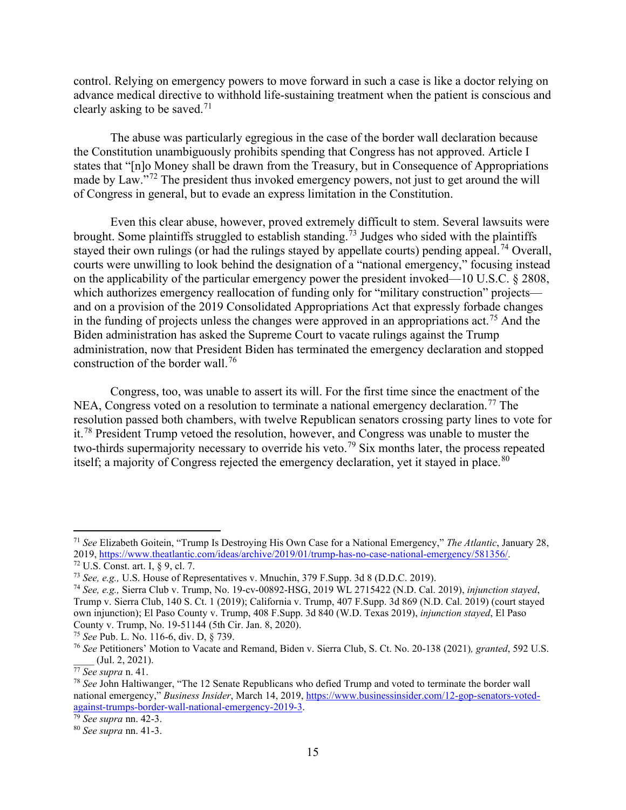control. Relying on emergency powers to move forward in such a case is like a doctor relying on advance medical directive to withhold life-sustaining treatment when the patient is conscious and clearly asking to be saved.<sup>[71](#page-15-0)</sup>

The abuse was particularly egregious in the case of the border wall declaration because the Constitution unambiguously prohibits spending that Congress has not approved. Article I states that "[n]o Money shall be drawn from the Treasury, but in Consequence of Appropriations made by Law."<sup>[72](#page-15-1)</sup> The president thus invoked emergency powers, not just to get around the will of Congress in general, but to evade an express limitation in the Constitution.

Even this clear abuse, however, proved extremely difficult to stem. Several lawsuits were brought. Some plaintiffs struggled to establish standing.<sup>[73](#page-15-2)</sup> Judges who sided with the plaintiffs stayed their own rulings (or had the rulings stayed by appellate courts) pending appeal.<sup>[74](#page-15-3)</sup> Overall, courts were unwilling to look behind the designation of a "national emergency," focusing instead on the applicability of the particular emergency power the president invoked—10 U.S.C. § 2808, which authorizes emergency reallocation of funding only for "military construction" projects and on a provision of the 2019 Consolidated Appropriations Act that expressly forbade changes in the funding of projects unless the changes were approved in an appropriations act.<sup>[75](#page-15-4)</sup> And the Biden administration has asked the Supreme Court to vacate rulings against the Trump administration, now that President Biden has terminated the emergency declaration and stopped construction of the border wall.[76](#page-15-5)

Congress, too, was unable to assert its will. For the first time since the enactment of the NEA, Congress voted on a resolution to terminate a national emergency declaration.<sup>[77](#page-15-6)</sup> The resolution passed both chambers, with twelve Republican senators crossing party lines to vote for it.<sup>[78](#page-15-7)</sup> President Trump vetoed the resolution, however, and Congress was unable to muster the two-thirds supermajority necessary to override his veto.<sup>[79](#page-15-8)</sup> Six months later, the process repeated itself; a majority of Congress rejected the emergency declaration, yet it stayed in place.<sup>[80](#page-15-9)</sup>

<span id="page-15-0"></span><sup>71</sup> *See* Elizabeth Goitein, "Trump Is Destroying His Own Case for a National Emergency," *The Atlantic*, January 28,

<span id="page-15-1"></span><sup>&</sup>lt;sup>72</sup> U.S. Const. art. I,  $\S$  9, cl. 7.<br><sup>73</sup> See, e.g., U.S. House of Representatives v. Mnuchin, 379 F.Supp. 3d 8 (D.D.C. 2019).

<span id="page-15-3"></span><span id="page-15-2"></span><sup>74</sup> *See, e.g.,* Sierra Club v. Trump, No. 19-cv-00892-HSG, 2019 WL 2715422 (N.D. Cal. 2019), *injunction stayed*, Trump v. Sierra Club, 140 S. Ct. 1 (2019); California v. Trump, 407 F.Supp. 3d 869 (N.D. Cal. 2019) (court stayed own injunction); El Paso County v. Trump, 408 F.Supp. 3d 840 (W.D. Texas 2019), *injunction stayed*, El Paso County v. Trump, No. 19-51144 (5th Cir. Jan. 8, 2020).

<span id="page-15-4"></span><sup>75</sup> *See* Pub. L. No. 116-6, div. D, § 739.

<span id="page-15-5"></span><sup>76</sup> *See* Petitioners' Motion to Vacate and Remand, Biden v. Sierra Club, S. Ct. No. 20-138 (2021)*, granted*, 592 U.S. \_\_\_\_ (Jul. 2, 2021).

<span id="page-15-6"></span><sup>77</sup> *See supra* n. 41.

<span id="page-15-7"></span><sup>78</sup> *See* John Haltiwanger, "The 12 Senate Republicans who defied Trump and voted to terminate the border wall national emergency," *Business Insider*, March 14, 2019[, https://www.businessinsider.com/12-gop-senators-voted](https://www.businessinsider.com/12-gop-senators-voted-against-trumps-border-wall-national-emergency-2019-3)[against-trumps-border-wall-national-emergency-2019-3.](https://www.businessinsider.com/12-gop-senators-voted-against-trumps-border-wall-national-emergency-2019-3)

<span id="page-15-8"></span><sup>79</sup> *See supra* nn. 42-3.

<span id="page-15-9"></span><sup>80</sup> *See supra* nn. 41-3.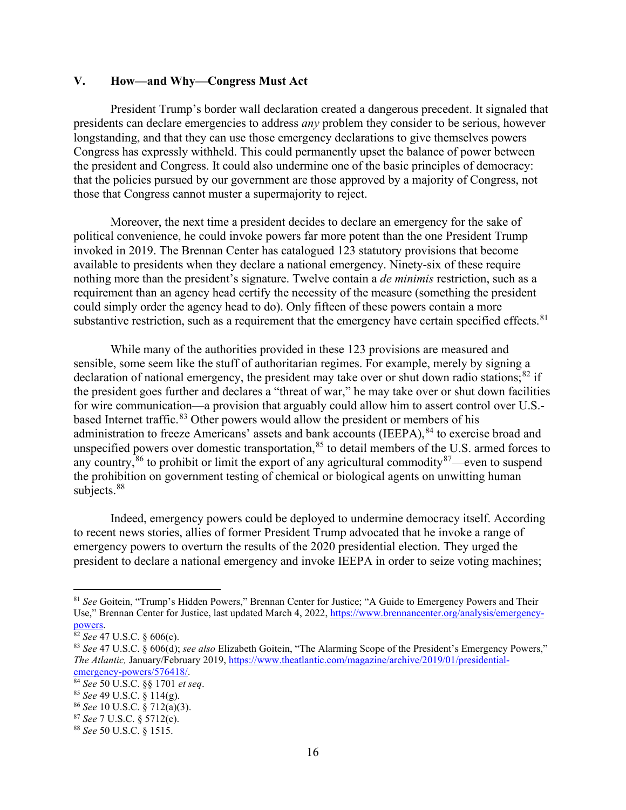### **V. How—and Why—Congress Must Act**

President Trump's border wall declaration created a dangerous precedent. It signaled that presidents can declare emergencies to address *any* problem they consider to be serious, however longstanding, and that they can use those emergency declarations to give themselves powers Congress has expressly withheld. This could permanently upset the balance of power between the president and Congress. It could also undermine one of the basic principles of democracy: that the policies pursued by our government are those approved by a majority of Congress, not those that Congress cannot muster a supermajority to reject.

Moreover, the next time a president decides to declare an emergency for the sake of political convenience, he could invoke powers far more potent than the one President Trump invoked in 2019. The Brennan Center has catalogued 123 statutory provisions that become available to presidents when they declare a national emergency. Ninety-six of these require nothing more than the president's signature. Twelve contain a *de minimis* restriction, such as a requirement than an agency head certify the necessity of the measure (something the president could simply order the agency head to do). Only fifteen of these powers contain a more substantive restriction, such as a requirement that the emergency have certain specified effects.<sup>[81](#page-16-0)</sup>

While many of the authorities provided in these 123 provisions are measured and sensible, some seem like the stuff of authoritarian regimes. For example, merely by signing a declaration of national emergency, the president may take over or shut down radio stations; $82$  if the president goes further and declares a "threat of war," he may take over or shut down facilities for wire communication—a provision that arguably could allow him to assert control over U.S.- based Internet traffic.<sup>[83](#page-16-2)</sup> Other powers would allow the president or members of his administration to freeze Americans' assets and bank accounts (IEEPA), <sup>[84](#page-16-3)</sup> to exercise broad and unspecified powers over domestic transportation,<sup>[85](#page-16-4)</sup> to detail members of the U.S. armed forces to any country,  $86$  to prohibit or limit the export of any agricultural commodity  $87$ —even to suspend the prohibition on government testing of chemical or biological agents on unwitting human subjects.<sup>[88](#page-16-7)</sup>

Indeed, emergency powers could be deployed to undermine democracy itself. According to recent news stories, allies of former President Trump advocated that he invoke a range of emergency powers to overturn the results of the 2020 presidential election. They urged the president to declare a national emergency and invoke IEEPA in order to seize voting machines;

<span id="page-16-0"></span><sup>81</sup> *See* Goitein, "Trump's Hidden Powers," Brennan Center for Justice; "A Guide to Emergency Powers and Their Use," Brennan Center for Justice, last updated March 4, 2022, [https://www.brennancenter.org/analysis/emergency](https://www.brennancenter.org/analysis/emergency-powers)[powers.](https://www.brennancenter.org/analysis/emergency-powers) 82 *See* 47 U.S.C. § 606(c).

<span id="page-16-2"></span><span id="page-16-1"></span><sup>83</sup> *See* 47 U.S.C. § 606(d); *see also* Elizabeth Goitein, "The Alarming Scope of the President's Emergency Powers," *The Atlantic,* January/February 2019[, https://www.theatlantic.com/magazine/archive/2019/01/presidential-](https://www.theatlantic.com/magazine/archive/2019/01/presidential-emergency-powers/576418/)

<span id="page-16-3"></span>[emergency-powers/576418/.](https://www.theatlantic.com/magazine/archive/2019/01/presidential-emergency-powers/576418/) 84 *See* 50 U.S.C. §§ <sup>1701</sup>*et seq*.

<span id="page-16-4"></span><sup>85</sup> *See* 49 U.S.C. § 114(g).

<span id="page-16-5"></span><sup>86</sup> *See* 10 U.S.C. § 712(a)(3).

<span id="page-16-6"></span><sup>87</sup> *See* 7 U.S.C. § 5712(c).

<span id="page-16-7"></span><sup>88</sup> *See* 50 U.S.C. § 1515.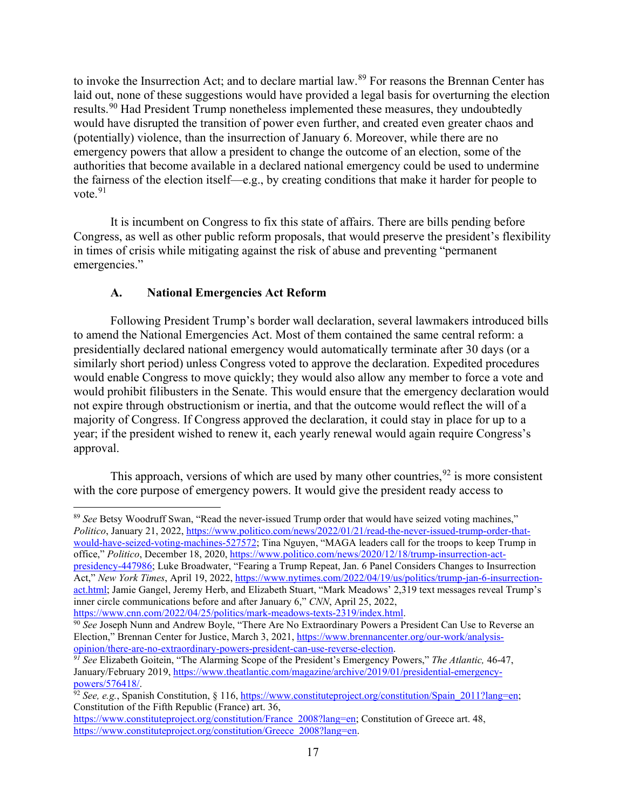to invoke the Insurrection Act; and to declare martial law.<sup>[89](#page-17-0)</sup> For reasons the Brennan Center has laid out, none of these suggestions would have provided a legal basis for overturning the election results.<sup>[90](#page-17-1)</sup> Had President Trump nonetheless implemented these measures, they undoubtedly would have disrupted the transition of power even further, and created even greater chaos and (potentially) violence, than the insurrection of January 6. Moreover, while there are no emergency powers that allow a president to change the outcome of an election, some of the authorities that become available in a declared national emergency could be used to undermine the fairness of the election itself—e.g., by creating conditions that make it harder for people to vote. $91$ 

It is incumbent on Congress to fix this state of affairs. There are bills pending before Congress, as well as other public reform proposals, that would preserve the president's flexibility in times of crisis while mitigating against the risk of abuse and preventing "permanent emergencies."

# **A. National Emergencies Act Reform**

Following President Trump's border wall declaration, several lawmakers introduced bills to amend the National Emergencies Act. Most of them contained the same central reform: a presidentially declared national emergency would automatically terminate after 30 days (or a similarly short period) unless Congress voted to approve the declaration. Expedited procedures would enable Congress to move quickly; they would also allow any member to force a vote and would prohibit filibusters in the Senate. This would ensure that the emergency declaration would not expire through obstructionism or inertia, and that the outcome would reflect the will of a majority of Congress. If Congress approved the declaration, it could stay in place for up to a year; if the president wished to renew it, each yearly renewal would again require Congress's approval.

This approach, versions of which are used by many other countries,  $92$  is more consistent with the core purpose of emergency powers. It would give the president ready access to

<span id="page-17-0"></span><sup>89</sup> *See* Betsy Woodruff Swan, "Read the never-issued Trump order that would have seized voting machines," *Politico*, January 21, 2022, [https://www.politico.com/news/2022/01/21/read-the-never-issued-trump-order-that](https://www.politico.com/news/2022/01/21/read-the-never-issued-trump-order-that-would-have-seized-voting-machines-527572)[would-have-seized-voting-machines-527572;](https://www.politico.com/news/2022/01/21/read-the-never-issued-trump-order-that-would-have-seized-voting-machines-527572) Tina Nguyen, "MAGA leaders call for the troops to keep Trump in office," *Politico*, December 18, 2020, [https://www.politico.com/news/2020/12/18/trump-insurrection-act](https://www.politico.com/news/2020/12/18/trump-insurrection-act-presidency-447986)[presidency-447986;](https://www.politico.com/news/2020/12/18/trump-insurrection-act-presidency-447986) Luke Broadwater, "Fearing a Trump Repeat, Jan. 6 Panel Considers Changes to Insurrection Act," *New York Times*, April 19, 2022, [https://www.nytimes.com/2022/04/19/us/politics/trump-jan-6-insurrection](https://www.nytimes.com/2022/04/19/us/politics/trump-jan-6-insurrection-act.html)[act.html;](https://www.nytimes.com/2022/04/19/us/politics/trump-jan-6-insurrection-act.html) Jamie Gangel, Jeremy Herb, and Elizabeth Stuart, "Mark Meadows' 2,319 text messages reveal Trump's inner circle communications before and after January 6," *CNN*, April 25, 2022,

[https://www.cnn.com/2022/04/25/politics/mark-meadows-texts-2319/index.html.](https://www.cnn.com/2022/04/25/politics/mark-meadows-texts-2319/index.html)

<span id="page-17-2"></span>*<sup>91</sup> See* Elizabeth Goitein, "The Alarming Scope of the President's Emergency Powers," *The Atlantic,* 46-47, January/February 2019[, https://www.theatlantic.com/magazine/archive/2019/01/presidential-emergency](https://www.theatlantic.com/magazine/archive/2019/01/presidential-emergency-powers/576418/)[powers/576418/.](https://www.theatlantic.com/magazine/archive/2019/01/presidential-emergency-powers/576418/)

<span id="page-17-1"></span><sup>90</sup> *See* Joseph Nunn and Andrew Boyle, "There Are No Extraordinary Powers a President Can Use to Reverse an Election," Brennan Center for Justice, March 3, 2021, [https://www.brennancenter.org/our-work/analysis](https://www.brennancenter.org/our-work/analysis-opinion/there-are-no-extraordinary-powers-president-can-use-reverse-election)[opinion/there-are-no-extraordinary-powers-president-can-use-reverse-election.](https://www.brennancenter.org/our-work/analysis-opinion/there-are-no-extraordinary-powers-president-can-use-reverse-election)

<span id="page-17-3"></span> $\frac{1}{92}$  *See, e.g.*, Spanish Constitution, § 116, https://www.constituteproject.org/constitution/Spain 2011?lang=en; Constitution of the Fifth Republic (France) art. 36,

[https://www.constituteproject.org/constitution/France\\_2008?lang=en;](https://www.constituteproject.org/constitution/France_2008?lang=en) Constitution of Greece art. 48, https://www.constituteproject.org/constitution/Greece<sup>2008?lang=en.</sup>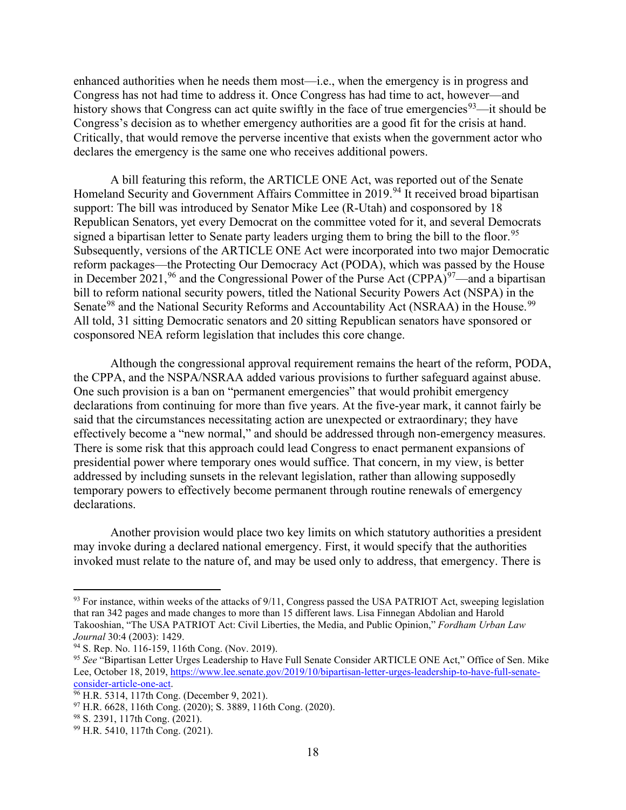enhanced authorities when he needs them most—i.e., when the emergency is in progress and Congress has not had time to address it. Once Congress has had time to act, however—and history shows that Congress can act quite swiftly in the face of true emergencies<sup>[93](#page-18-0)</sup>—it should be Congress's decision as to whether emergency authorities are a good fit for the crisis at hand. Critically, that would remove the perverse incentive that exists when the government actor who declares the emergency is the same one who receives additional powers.

A bill featuring this reform, the ARTICLE ONE Act, was reported out of the Senate Homeland Security and Government Affairs Committee in 2019.<sup>[94](#page-18-1)</sup> It received broad bipartisan support: The bill was introduced by Senator Mike Lee (R-Utah) and cosponsored by 18 Republican Senators, yet every Democrat on the committee voted for it, and several Democrats signed a bipartisan letter to Senate party leaders urging them to bring the bill to the floor.<sup>[95](#page-18-2)</sup> Subsequently, versions of the ARTICLE ONE Act were incorporated into two major Democratic reform packages—the Protecting Our Democracy Act (PODA), which was passed by the House in December 2021, <sup>[96](#page-18-3)</sup> and the Congressional Power of the Purse Act (CPPA)<sup>97</sup>—and a bipartisan bill to reform national security powers, titled the National Security Powers Act (NSPA) in the Senate<sup>[98](#page-18-5)</sup> and the National Security Reforms and Accountability Act (NSRAA) in the House.<sup>[99](#page-18-6)</sup> All told, 31 sitting Democratic senators and 20 sitting Republican senators have sponsored or cosponsored NEA reform legislation that includes this core change.

Although the congressional approval requirement remains the heart of the reform, PODA, the CPPA, and the NSPA/NSRAA added various provisions to further safeguard against abuse. One such provision is a ban on "permanent emergencies" that would prohibit emergency declarations from continuing for more than five years. At the five-year mark, it cannot fairly be said that the circumstances necessitating action are unexpected or extraordinary; they have effectively become a "new normal," and should be addressed through non-emergency measures. There is some risk that this approach could lead Congress to enact permanent expansions of presidential power where temporary ones would suffice. That concern, in my view, is better addressed by including sunsets in the relevant legislation, rather than allowing supposedly temporary powers to effectively become permanent through routine renewals of emergency declarations.

Another provision would place two key limits on which statutory authorities a president may invoke during a declared national emergency. First, it would specify that the authorities invoked must relate to the nature of, and may be used only to address, that emergency. There is

<span id="page-18-0"></span> $93$  For instance, within weeks of the attacks of  $9/11$ , Congress passed the USA PATRIOT Act, sweeping legislation that ran 342 pages and made changes to more than 15 different laws. Lisa Finnegan Abdolian and Harold Takooshian, "The USA PATRIOT Act: Civil Liberties, the Media, and Public Opinion," *Fordham Urban Law Journal* 30:4 (2003): 1429.

<span id="page-18-1"></span><sup>94</sup> S. Rep. No. 116-159, 116th Cong. (Nov. 2019).

<span id="page-18-2"></span><sup>95</sup> *See* "Bipartisan Letter Urges Leadership to Have Full Senate Consider ARTICLE ONE Act," Office of Sen. Mike Lee, October 18, 2019, https://www.lee.senate.gov/2019/10/bipartisan-letter-urges-leadership-to-have-full-senate-<br>consider-article-one-act.

<span id="page-18-3"></span><sup>&</sup>lt;sup>96</sup> H.R. 5314, 117th Cong. (December 9, 2021).

<span id="page-18-4"></span> $97$  H.R. 6628, 116th Cong. (2020); S. 3889, 116th Cong. (2020).

<span id="page-18-5"></span><sup>98</sup> S. 2391, 117th Cong. (2021).

<span id="page-18-6"></span><sup>99</sup> H.R. 5410, 117th Cong. (2021).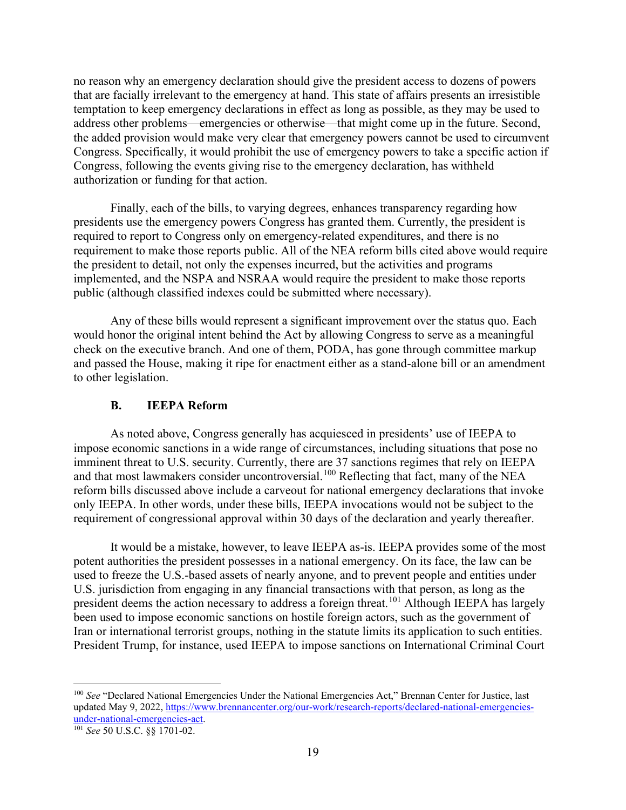no reason why an emergency declaration should give the president access to dozens of powers that are facially irrelevant to the emergency at hand. This state of affairs presents an irresistible temptation to keep emergency declarations in effect as long as possible, as they may be used to address other problems—emergencies or otherwise—that might come up in the future. Second, the added provision would make very clear that emergency powers cannot be used to circumvent Congress. Specifically, it would prohibit the use of emergency powers to take a specific action if Congress, following the events giving rise to the emergency declaration, has withheld authorization or funding for that action.

Finally, each of the bills, to varying degrees, enhances transparency regarding how presidents use the emergency powers Congress has granted them. Currently, the president is required to report to Congress only on emergency-related expenditures, and there is no requirement to make those reports public. All of the NEA reform bills cited above would require the president to detail, not only the expenses incurred, but the activities and programs implemented, and the NSPA and NSRAA would require the president to make those reports public (although classified indexes could be submitted where necessary).

Any of these bills would represent a significant improvement over the status quo. Each would honor the original intent behind the Act by allowing Congress to serve as a meaningful check on the executive branch. And one of them, PODA, has gone through committee markup and passed the House, making it ripe for enactment either as a stand-alone bill or an amendment to other legislation.

#### **B. IEEPA Reform**

As noted above, Congress generally has acquiesced in presidents' use of IEEPA to impose economic sanctions in a wide range of circumstances, including situations that pose no imminent threat to U.S. security. Currently, there are 37 sanctions regimes that rely on IEEPA and that most lawmakers consider uncontroversial.<sup>[100](#page-19-0)</sup> Reflecting that fact, many of the NEA reform bills discussed above include a carveout for national emergency declarations that invoke only IEEPA. In other words, under these bills, IEEPA invocations would not be subject to the requirement of congressional approval within 30 days of the declaration and yearly thereafter.

It would be a mistake, however, to leave IEEPA as-is. IEEPA provides some of the most potent authorities the president possesses in a national emergency. On its face, the law can be used to freeze the U.S.-based assets of nearly anyone, and to prevent people and entities under U.S. jurisdiction from engaging in any financial transactions with that person, as long as the president deems the action necessary to address a foreign threat.<sup>[101](#page-19-1)</sup> Although IEEPA has largely been used to impose economic sanctions on hostile foreign actors, such as the government of Iran or international terrorist groups, nothing in the statute limits its application to such entities. President Trump, for instance, used IEEPA to impose sanctions on International Criminal Court

<span id="page-19-0"></span><sup>100</sup> *See* "Declared National Emergencies Under the National Emergencies Act," Brennan Center for Justice, last updated May 9, 2022, [https://www.brennancenter.org/our-work/research-reports/declared-national-emergencies](https://www.brennancenter.org/sites/default/files/analysis/DeclaredNationalEmergenciesUndertheNationalEmergenciesAct_2.14.19.pdf)[under-national-emergencies-act.](https://www.brennancenter.org/sites/default/files/analysis/DeclaredNationalEmergenciesUndertheNationalEmergenciesAct_2.14.19.pdf)

<span id="page-19-1"></span><sup>101</sup> *See* 50 U.S.C. §§ 1701-02.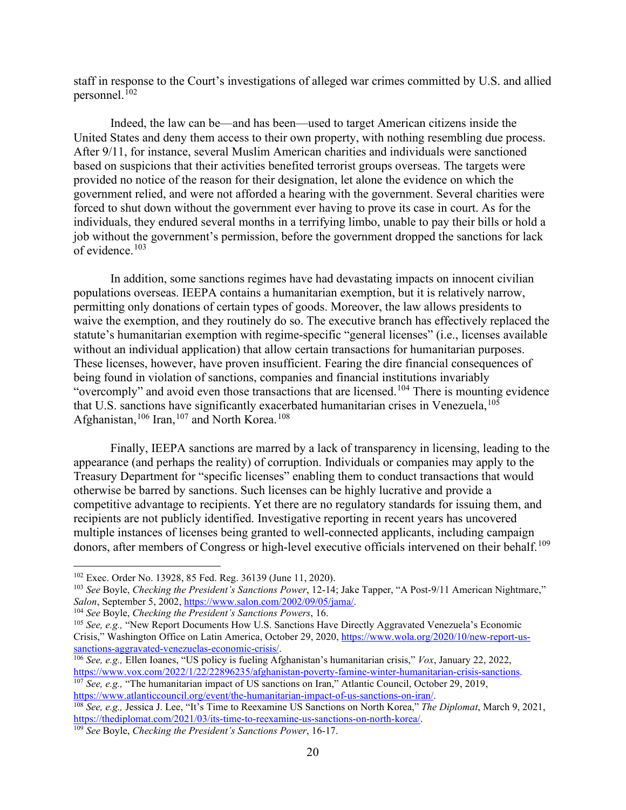staff in response to the Court's investigations of alleged war crimes committed by U.S. and allied personnel. $102$ 

Indeed, the law can be—and has been—used to target American citizens inside the United States and deny them access to their own property, with nothing resembling due process. After 9/11, for instance, several Muslim American charities and individuals were sanctioned based on suspicions that their activities benefited terrorist groups overseas. The targets were provided no notice of the reason for their designation, let alone the evidence on which the government relied, and were not afforded a hearing with the government. Several charities were forced to shut down without the government ever having to prove its case in court. As for the individuals, they endured several months in a terrifying limbo, unable to pay their bills or hold a job without the government's permission, before the government dropped the sanctions for lack of evidence.[103](#page-20-1)

In addition, some sanctions regimes have had devastating impacts on innocent civilian populations overseas. IEEPA contains a humanitarian exemption, but it is relatively narrow, permitting only donations of certain types of goods. Moreover, the law allows presidents to waive the exemption, and they routinely do so. The executive branch has effectively replaced the statute's humanitarian exemption with regime-specific "general licenses" (i.e., licenses available without an individual application) that allow certain transactions for humanitarian purposes. These licenses, however, have proven insufficient. Fearing the dire financial consequences of being found in violation of sanctions, companies and financial institutions invariably "overcomply" and avoid even those transactions that are licensed.<sup>[104](#page-20-2)</sup> There is mounting evidence that U.S. sanctions have significantly exacerbated humanitarian crises in Venezuela,  $^{105}$  $^{105}$  $^{105}$ Afghanistan,<sup>[106](#page-20-4)</sup> Iran,<sup>[107](#page-20-5)</sup> and North Korea.<sup>[108](#page-20-6)</sup>

Finally, IEEPA sanctions are marred by a lack of transparency in licensing, leading to the appearance (and perhaps the reality) of corruption. Individuals or companies may apply to the Treasury Department for "specific licenses" enabling them to conduct transactions that would otherwise be barred by sanctions. Such licenses can be highly lucrative and provide a competitive advantage to recipients. Yet there are no regulatory standards for issuing them, and recipients are not publicly identified. Investigative reporting in recent years has uncovered multiple instances of licenses being granted to well-connected applicants, including campaign donors, after members of Congress or high-level executive officials intervened on their behalf.<sup>[109](#page-20-7)</sup>

<span id="page-20-0"></span><sup>102</sup> Exec. Order No. 13928, 85 Fed. Reg. 36139 (June 11, 2020).

<span id="page-20-1"></span><sup>103</sup> *See* Boyle, *Checking the President's Sanctions Power*, 12-14; Jake Tapper, "A Post-9/11 American Nightmare," *Salon*, September 5, 2002, [https://www.salon.com/2002/09/05/jama/.](https://www.salon.com/2002/09/05/jama/)

<span id="page-20-2"></span><sup>104</sup> *See* Boyle, *Checking the President's Sanctions Powers*, 16.

<span id="page-20-3"></span><sup>105</sup> *See, e.g.,* "New Report Documents How U.S. Sanctions Have Directly Aggravated Venezuela's Economic Crisis," Washington Office on Latin America, October 29, 2020, [https://www.wola.org/2020/10/new-report-us-](https://www.wola.org/2020/10/new-report-us-sanctions-aggravated-venezuelas-economic-crisis/)

<span id="page-20-4"></span>[sanctions-aggravated-venezuelas-economic-crisis/.](https://www.wola.org/2020/10/new-report-us-sanctions-aggravated-venezuelas-economic-crisis/)<br><sup>106</sup> *See, e.g.*, Ellen Ioanes, "US policy is fueling Afghanistan's humanitarian crisis," *Vox*, January 22, 2022,<br>https://www.vox.com/2022/1/22/22896235/afghanistan-pover

<span id="page-20-5"></span><sup>&</sup>lt;sup>107</sup> See, e.g., "The humanitarian impact of US sanctions on Iran," Atlantic Council, October 29, 2019, [https://www.atlanticcouncil.org/event/the-humanitarian-impact-of-us-sanctions-on-iran/.](https://www.atlanticcouncil.org/event/the-humanitarian-impact-of-us-sanctions-on-iran/) 108 *See, e.g.,* Jessica J. Lee, "It's Time to Reexamine US Sanctions on North Korea," *The Diplomat*, March 9, 2021,

<span id="page-20-6"></span>[https://thediplomat.com/2021/03/its-time-to-reexamine-us-sanctions-on-north-korea/.](https://thediplomat.com/2021/03/its-time-to-reexamine-us-sanctions-on-north-korea/) 109 *See* Boyle, *Checking the President's Sanctions Power*, 16-17.

<span id="page-20-7"></span>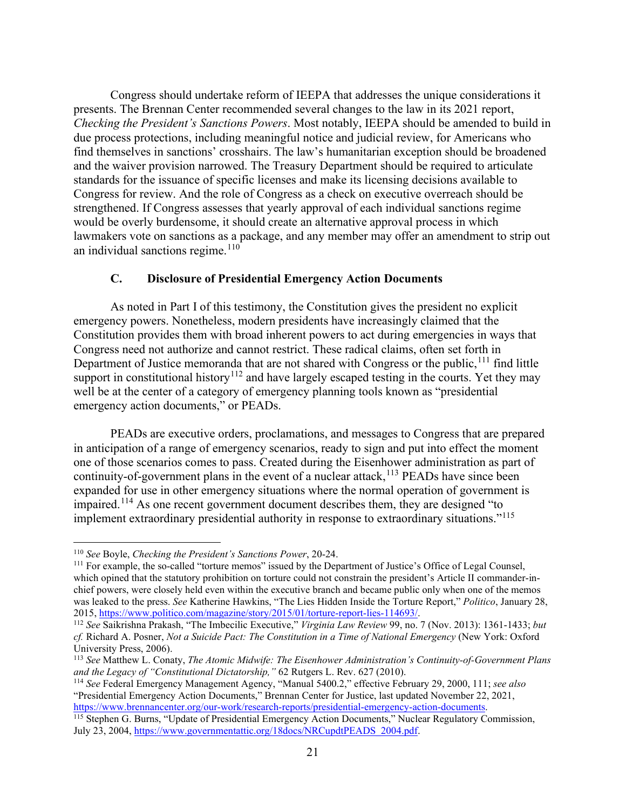Congress should undertake reform of IEEPA that addresses the unique considerations it presents. The Brennan Center recommended several changes to the law in its 2021 report, *Checking the President's Sanctions Powers*. Most notably, IEEPA should be amended to build in due process protections, including meaningful notice and judicial review, for Americans who find themselves in sanctions' crosshairs. The law's humanitarian exception should be broadened and the waiver provision narrowed. The Treasury Department should be required to articulate standards for the issuance of specific licenses and make its licensing decisions available to Congress for review. And the role of Congress as a check on executive overreach should be strengthened. If Congress assesses that yearly approval of each individual sanctions regime would be overly burdensome, it should create an alternative approval process in which lawmakers vote on sanctions as a package, and any member may offer an amendment to strip out an individual sanctions regime. $110$ 

### **C. Disclosure of Presidential Emergency Action Documents**

As noted in Part I of this testimony, the Constitution gives the president no explicit emergency powers. Nonetheless, modern presidents have increasingly claimed that the Constitution provides them with broad inherent powers to act during emergencies in ways that Congress need not authorize and cannot restrict. These radical claims, often set forth in Department of Justice memoranda that are not shared with Congress or the public, <sup>[111](#page-21-1)</sup> find little support in constitutional history<sup>[112](#page-21-2)</sup> and have largely escaped testing in the courts. Yet they may well be at the center of a category of emergency planning tools known as "presidential emergency action documents," or PEADs.

PEADs are executive orders, proclamations, and messages to Congress that are prepared in anticipation of a range of emergency scenarios, ready to sign and put into effect the moment one of those scenarios comes to pass. Created during the Eisenhower administration as part of continuity-of-government plans in the event of a nuclear attack,<sup>[113](#page-21-3)</sup> PEADs have since been expanded for use in other emergency situations where the normal operation of government is impaired.[114](#page-21-4) As one recent government document describes them, they are designed "to implement extraordinary presidential authority in response to extraordinary situations."<sup>[115](#page-21-5)</sup>

<span id="page-21-0"></span><sup>110</sup> *See* Boyle, *Checking the President's Sanctions Power*, 20-24.

<span id="page-21-1"></span><sup>111</sup> For example, the so-called "torture memos" issued by the Department of Justice's Office of Legal Counsel, which opined that the statutory prohibition on torture could not constrain the president's Article II commander-inchief powers, were closely held even within the executive branch and became public only when one of the memos was leaked to the press. *See* Katherine Hawkins, "The Lies Hidden Inside the Torture Report," *Politico*, January 28, 2015, https://www.politico.com/magazine/story/2015/01/torture-report-lies-114693/.

<span id="page-21-2"></span><sup>&</sup>lt;sup>112</sup> See Saikrishna Prakash, "The Imbecilic Executive," *Virginia Law Review* 99, no. 7 (Nov. 2013): 1361-1433; *but cf.* Richard A. Posner, *Not a Suicide Pact: The Constitution in a Time of National Emergency* (New York: Oxford University Press, 2006).

<span id="page-21-3"></span><sup>113</sup> *See* Matthew L. Conaty, *The Atomic Midwife: The Eisenhower Administration's Continuity-of-Government Plans and the Legacy of "Constitutional Dictatorship,"* 62 Rutgers L. Rev. 627 (2010).

<span id="page-21-4"></span><sup>114</sup> *See* Federal Emergency Management Agency, "Manual 5400.2," effective February 29, 2000, 111; *see also* "Presidential Emergency Action Documents," Brennan Center for Justice, last updated November 22, 2021, [https://www.brennancenter.org/our-work/research-reports/presidential-emergency-action-documents.](https://www.brennancenter.org/our-work/research-reports/presidential-emergency-action-documents)

<span id="page-21-5"></span><sup>&</sup>lt;sup>115</sup> Stephen G. Burns, "Update of Presidential Emergency Action Documents," Nuclear Regulatory Commission, July 23, 2004, [https://www.governmentattic.org/18docs/NRCupdtPEADS\\_2004.pdf.](https://www.governmentattic.org/18docs/NRCupdtPEADS_2004.pdf)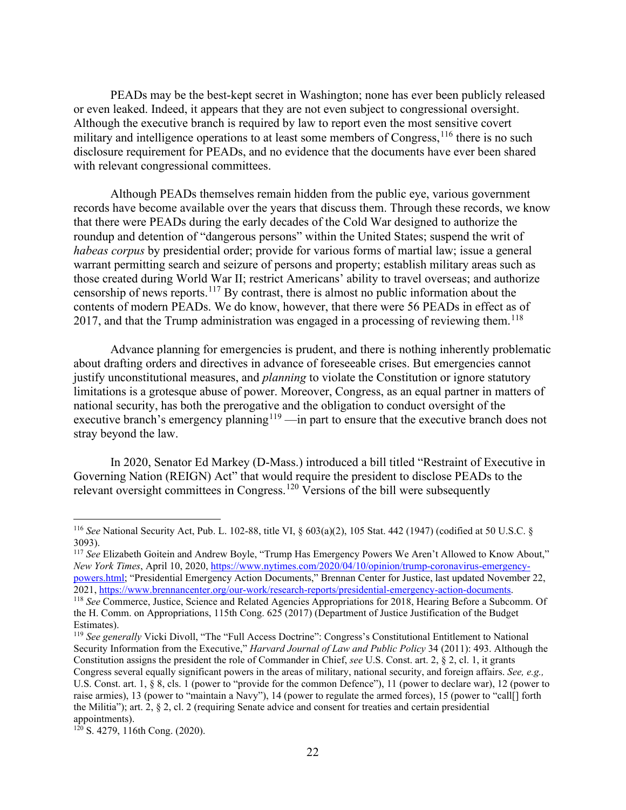PEADs may be the best-kept secret in Washington; none has ever been publicly released or even leaked. Indeed, it appears that they are not even subject to congressional oversight. Although the executive branch is required by law to report even the most sensitive covert military and intelligence operations to at least some members of Congress,  $^{116}$  $^{116}$  $^{116}$  there is no such disclosure requirement for PEADs, and no evidence that the documents have ever been shared with relevant congressional committees.

Although PEADs themselves remain hidden from the public eye, various government records have become available over the years that discuss them. Through these records, we know that there were PEADs during the early decades of the Cold War designed to authorize the roundup and detention of "dangerous persons" within the United States; suspend the writ of *habeas corpus* by presidential order; provide for various forms of martial law; issue a general warrant permitting search and seizure of persons and property; establish military areas such as those created during World War II; restrict Americans' ability to travel overseas; and authorize censorship of news reports.[117](#page-22-1) By contrast, there is almost no public information about the contents of modern PEADs. We do know, however, that there were 56 PEADs in effect as of 2017, and that the Trump administration was engaged in a processing of reviewing them.<sup>[118](#page-22-2)</sup>

Advance planning for emergencies is prudent, and there is nothing inherently problematic about drafting orders and directives in advance of foreseeable crises. But emergencies cannot justify unconstitutional measures, and *planning* to violate the Constitution or ignore statutory limitations is a grotesque abuse of power. Moreover, Congress, as an equal partner in matters of national security, has both the prerogative and the obligation to conduct oversight of the executive branch's emergency planning<sup>[119](#page-22-3)</sup> —in part to ensure that the executive branch does not stray beyond the law.

In 2020, Senator Ed Markey (D-Mass.) introduced a bill titled "Restraint of Executive in Governing Nation (REIGN) Act" that would require the president to disclose PEADs to the relevant oversight committees in Congress.[120](#page-22-4) Versions of the bill were subsequently

<span id="page-22-1"></span><sup>117</sup> *See* Elizabeth Goitein and Andrew Boyle, "Trump Has Emergency Powers We Aren't Allowed to Know About," *New York Times*, April 10, 2020, [https://www.nytimes.com/2020/04/10/opinion/trump-coronavirus-emergency](https://www.nytimes.com/2020/04/10/opinion/trump-coronavirus-emergency-powers.html)[powers.html;](https://www.nytimes.com/2020/04/10/opinion/trump-coronavirus-emergency-powers.html) "Presidential Emergency Action Documents," Brennan Center for Justice, last updated November 22, 2021, [https://www.brennancenter.org/our-work/research-reports/presidential-emergency-action-documents.](https://www.brennancenter.org/our-work/research-reports/presidential-emergency-action-documents)

<span id="page-22-3"></span><sup>119</sup> See generally Vicki Divoll, "The "Full Access Doctrine": Congress's Constitutional Entitlement to National Security Information from the Executive," *Harvard Journal of Law and Public Policy* 34 (2011): 493. Although the Constitution assigns the president the role of Commander in Chief, *see* U.S. Const. art. 2, § 2, cl. 1, it grants Congress several equally significant powers in the areas of military, national security, and foreign affairs. *See, e.g.,*  U.S. Const. art. 1, § 8, cls. 1 (power to "provide for the common Defence"), 11 (power to declare war), 12 (power to raise armies), 13 (power to "maintain a Navy"), 14 (power to regulate the armed forces), 15 (power to "call[] forth the Militia"); art. 2, § 2, cl. 2 (requiring Senate advice and consent for treaties and certain presidential appointments).

<span id="page-22-0"></span><sup>116</sup> *See* National Security Act, Pub. L. 102-88, title VI, § 603(a)(2), 105 Stat. 442 (1947) (codified at 50 U.S.C. § 3093).

<span id="page-22-2"></span><sup>118</sup> *See* Commerce, Justice, Science and Related Agencies Appropriations for 2018, Hearing Before a Subcomm. Of the H. Comm. on Appropriations, 115th Cong. 625 (2017) (Department of Justice Justification of the Budget Estimates).

<span id="page-22-4"></span> $120$  S. 4279, 116th Cong. (2020).